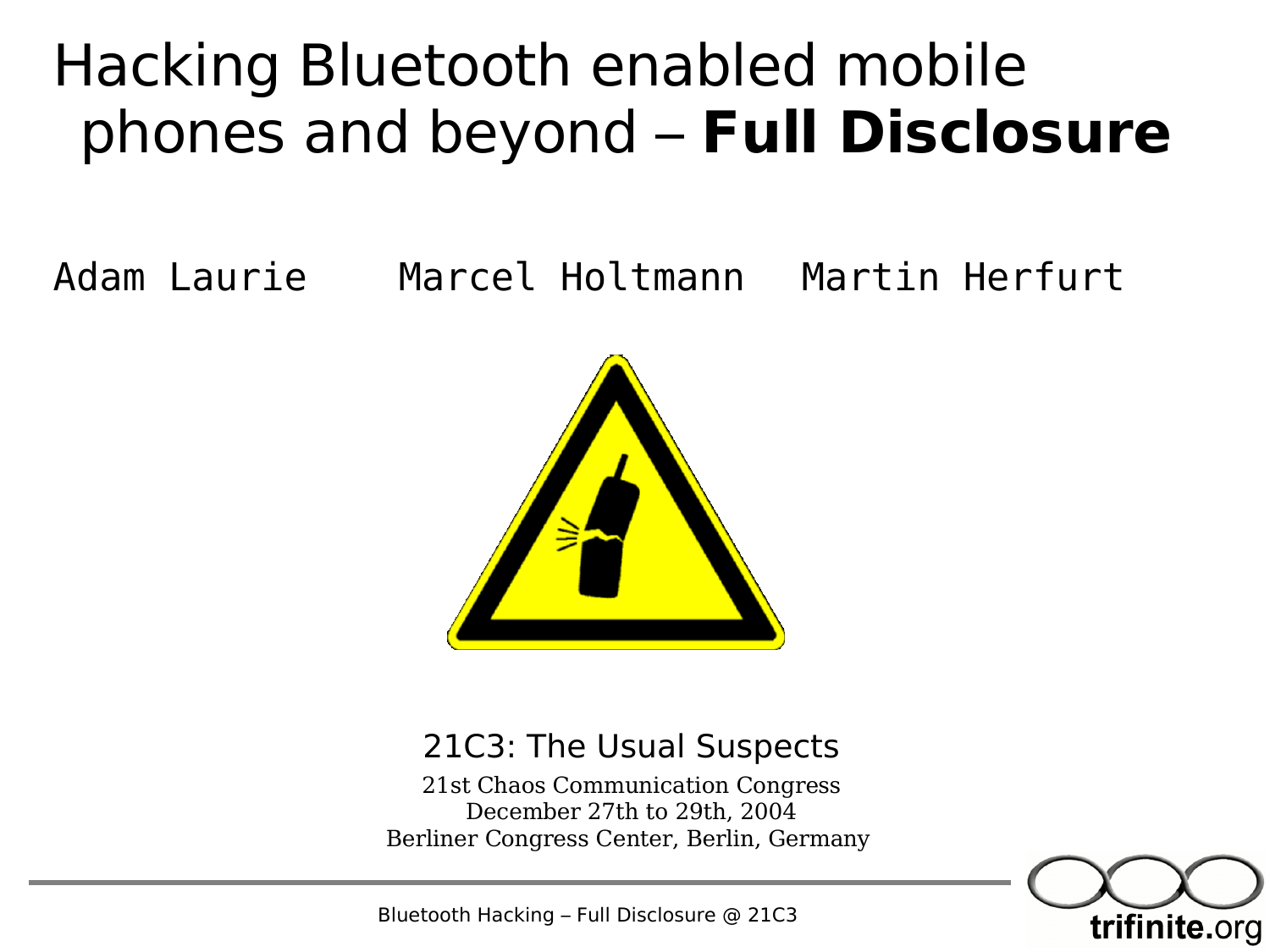#### Hacking Bluetooth enabled mobile phones and beyond – **Full Disclosure**

Adam Laurie Marcel Holtmann Martin Herfurt



#### 21C3: The Usual Suspects

21st Chaos Communication Congress December 27th to 29th, 2004 Berliner Congress Center, Berlin, Germany



Bluetooth Hacking – Full Disclosure @ 21C3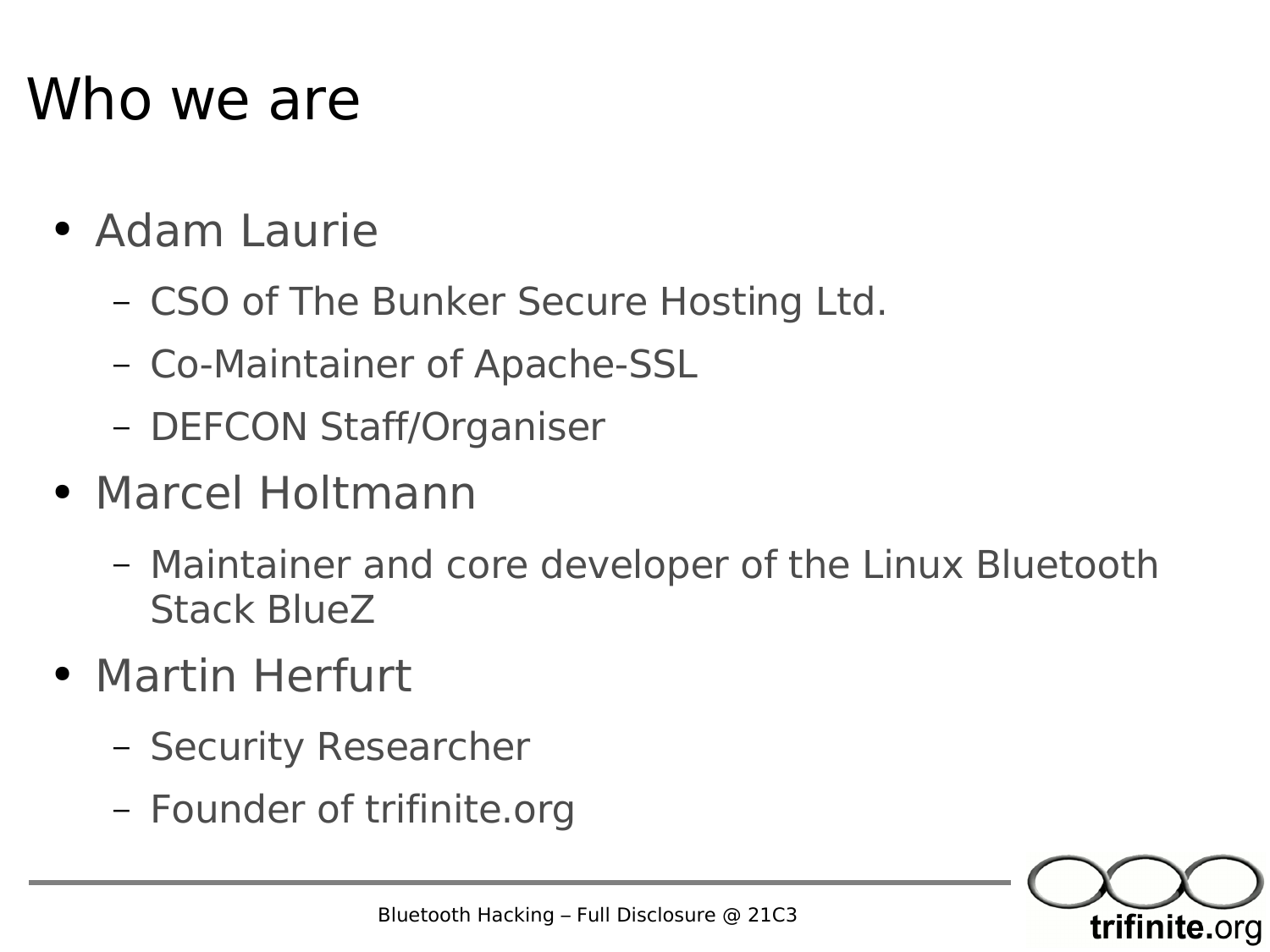#### Who we are

- Adam Laurie
	- CSO of The Bunker Secure Hosting Ltd.
	- Co-Maintainer of Apache-SSL
	- DEFCON Staff/Organiser
- Marcel Holtmann
	- Maintainer and core developer of the Linux Bluetooth Stack BlueZ
- Martin Herfurt
	- Security Researcher
	- Founder of trifinite.org

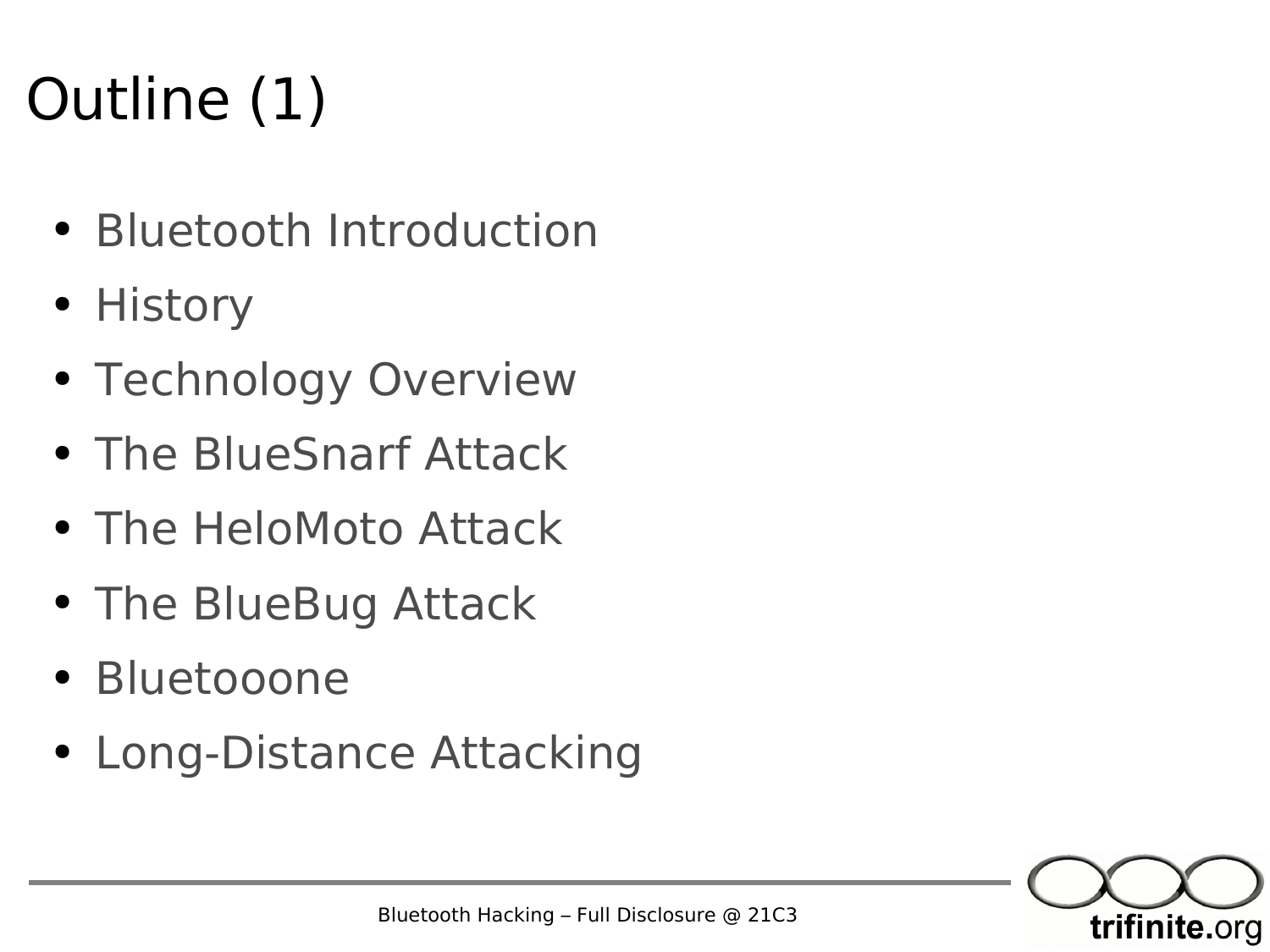#### Outline (1)

- Bluetooth Introduction
- History
- Technology Overview
- The BlueSnarf Attack
- The HeloMoto Attack
- The BlueBug Attack
- Bluetooone
- Long-Distance Attacking

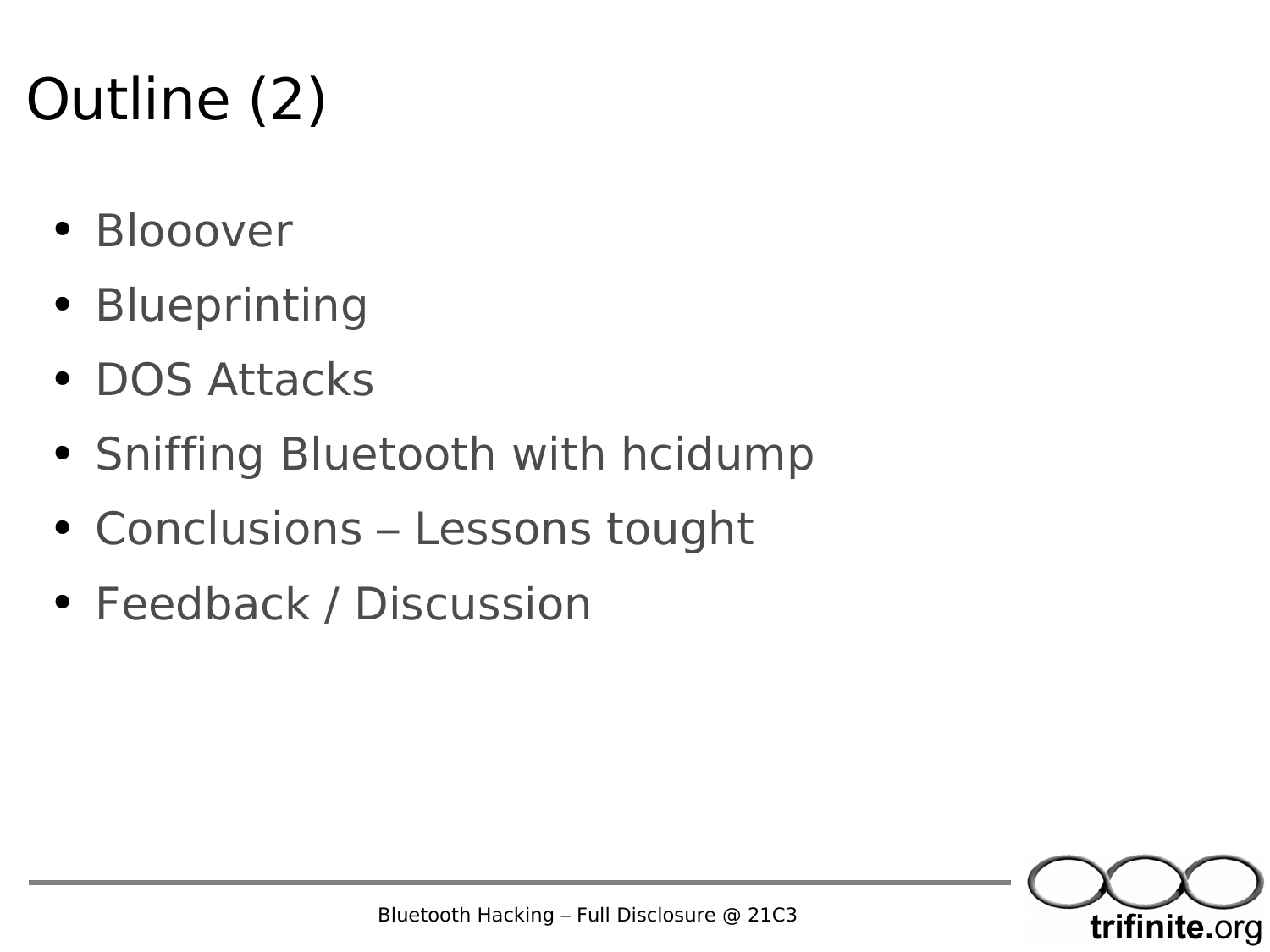#### Outline (2)

- Blooover
- Blueprinting
- DOS Attacks
- Sniffing Bluetooth with hcidump
- Conclusions Lessons tought
- Feedback / Discussion

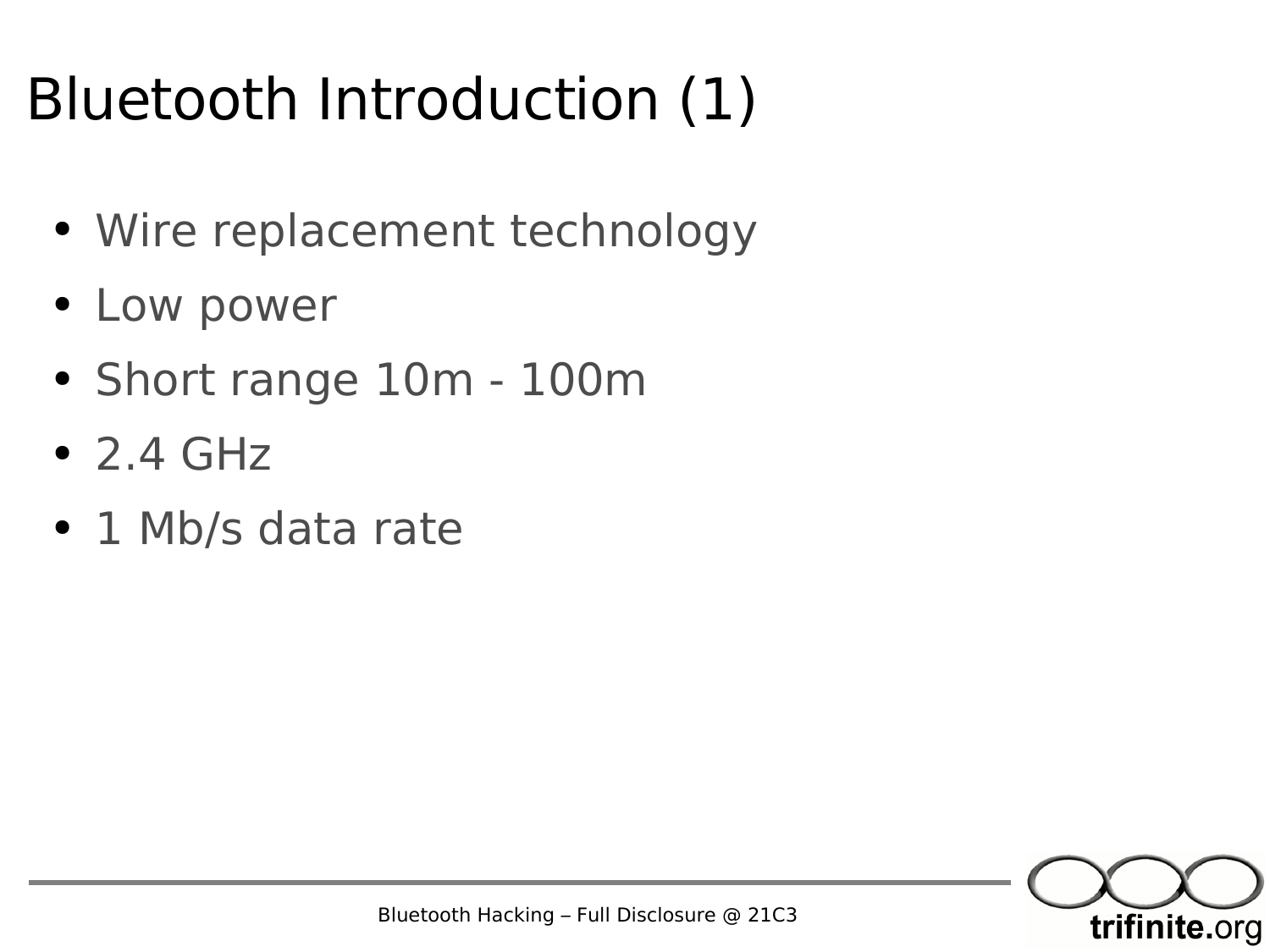#### Bluetooth Introduction (1)

- Wire replacement technology
- Low power
- Short range 10m 100m
- $\bullet$  2.4 GHz
- 1 Mb/s data rate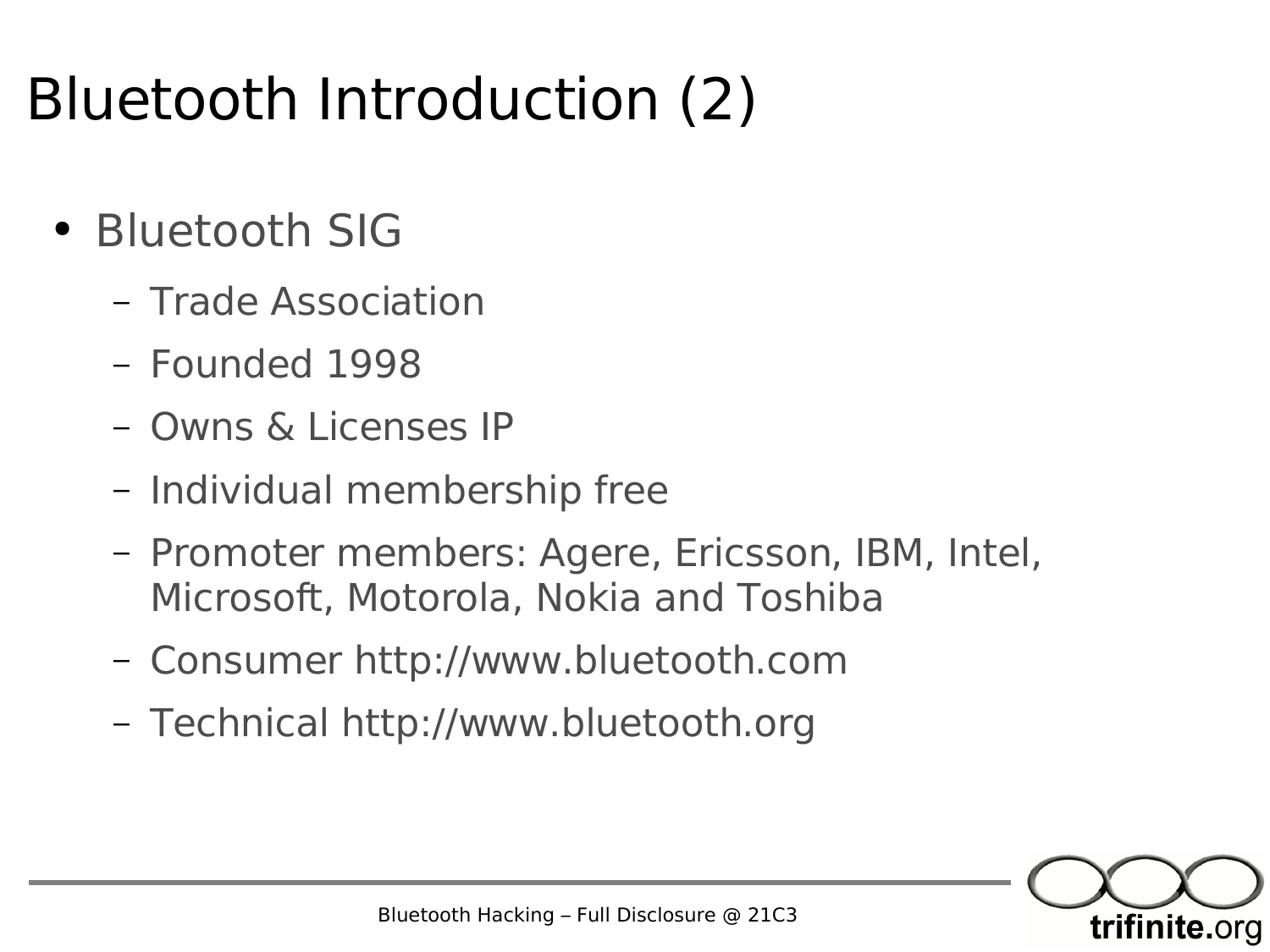#### Bluetooth Introduction (2)

- Bluetooth SIG
	- Trade Association
	- Founded 1998
	- Owns & Licenses IP
	- Individual membership free
	- Promoter members: Agere, Ericsson, IBM, Intel, Microsoft, Motorola, Nokia and Toshiba
	- Consumer http://www.bluetooth.com
	- Technical http://www.bluetooth.org

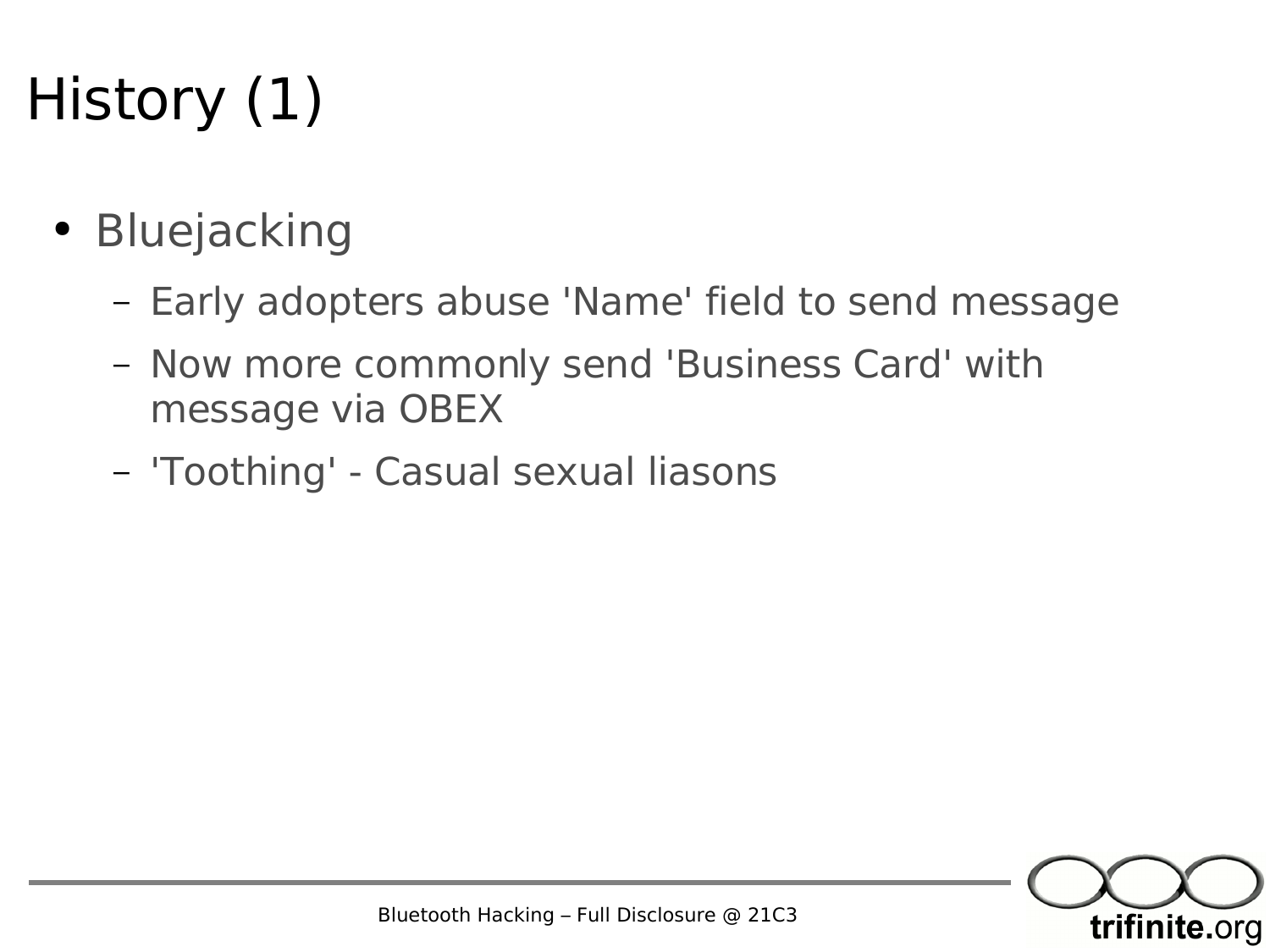#### History (1)

- Bluejacking
	- Early adopters abuse 'Name' field to send message
	- Now more commonly send 'Business Card' with message via OBEX
	- 'Toothing' Casual sexual liasons

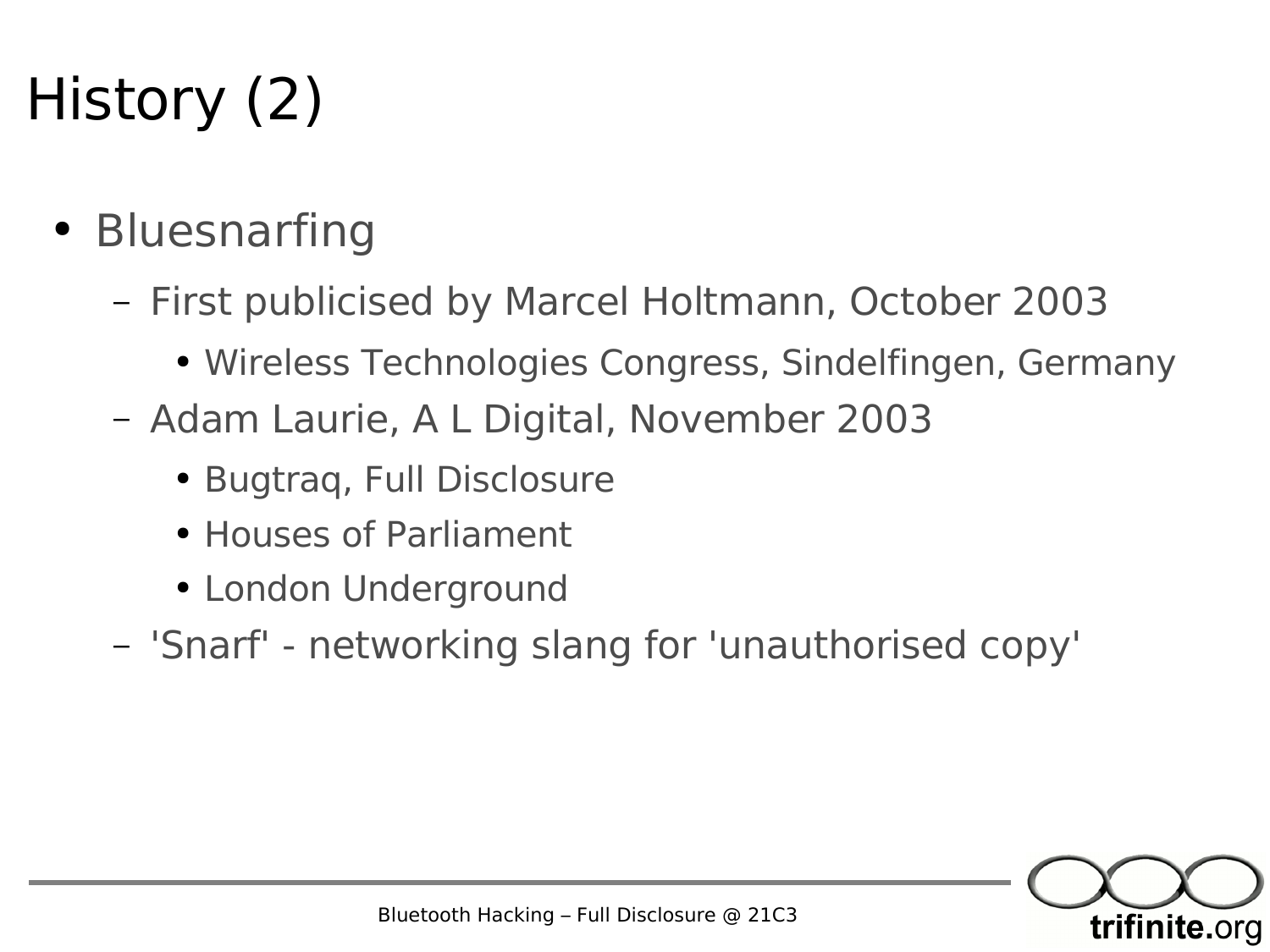## History (2)

- Bluesnarfing
	- First publicised by Marcel Holtmann, October 2003
		- Wireless Technologies Congress, Sindelfingen, Germany
	- Adam Laurie, A L Digital, November 2003
		- Bugtraq, Full Disclosure
		- Houses of Parliament
		- London Underground
	- 'Snarf' networking slang for 'unauthorised copy'

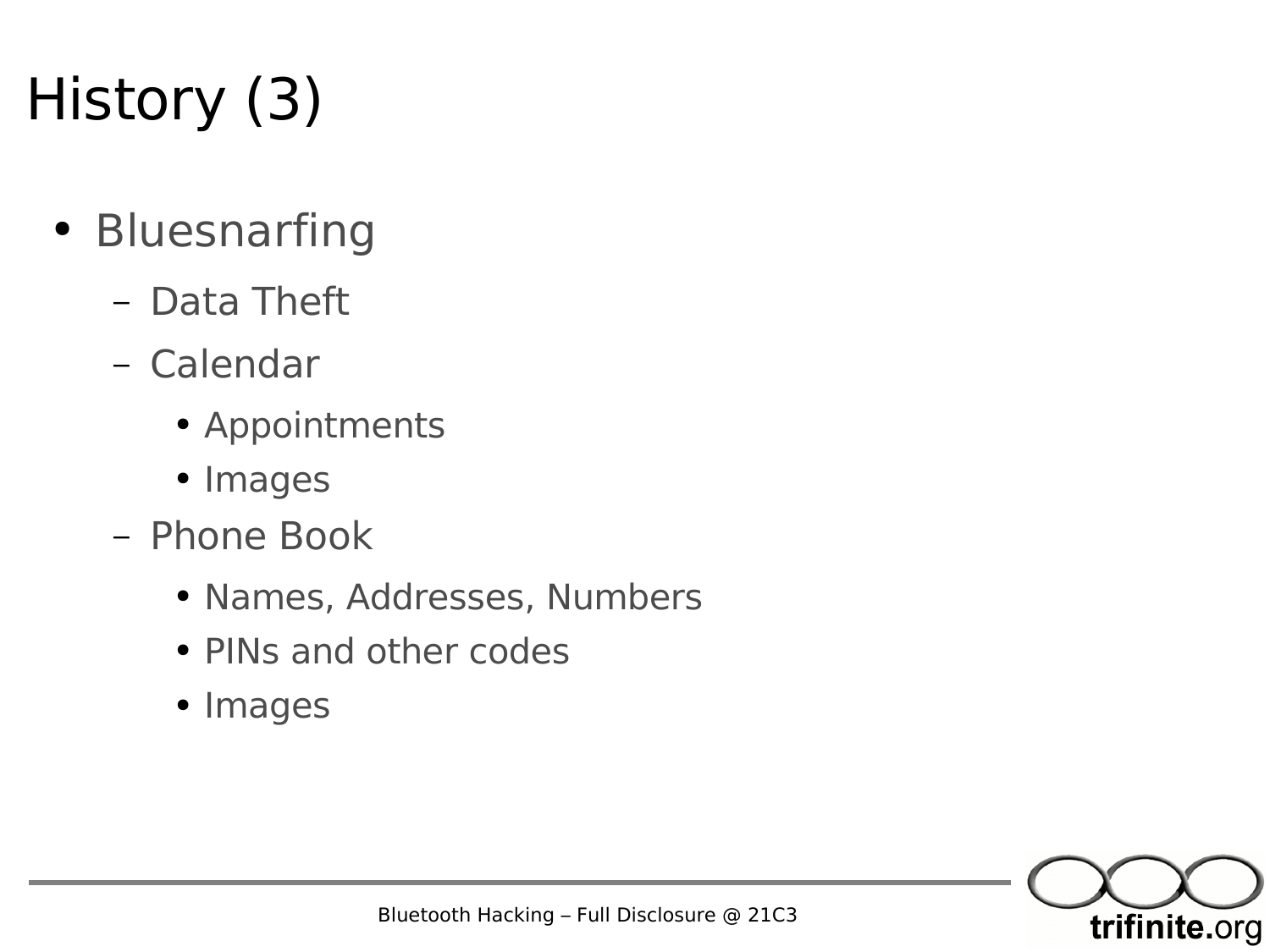# History (3)

- Bluesnarfing
	- Data Theft
	- Calendar
		- Appointments
		- Images
	- Phone Book
		- Names, Addresses, Numbers
		- PINs and other codes
		- Images

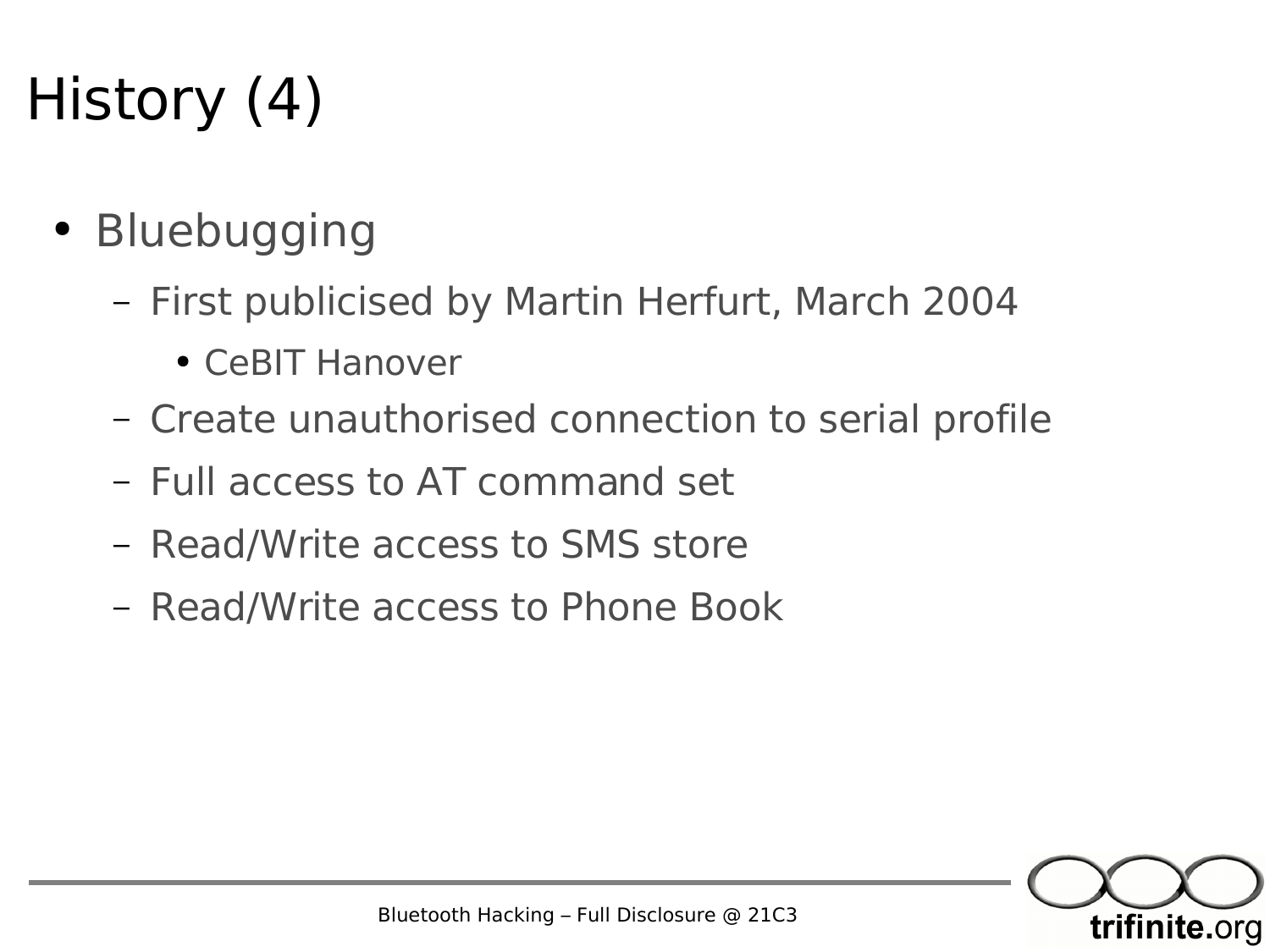#### History (4)

- Bluebugging
	- First publicised by Martin Herfurt, March 2004
		- CeBIT Hanover
	- Create unauthorised connection to serial profile
	- Full access to AT command set
	- Read/Write access to SMS store
	- Read/Write access to Phone Book

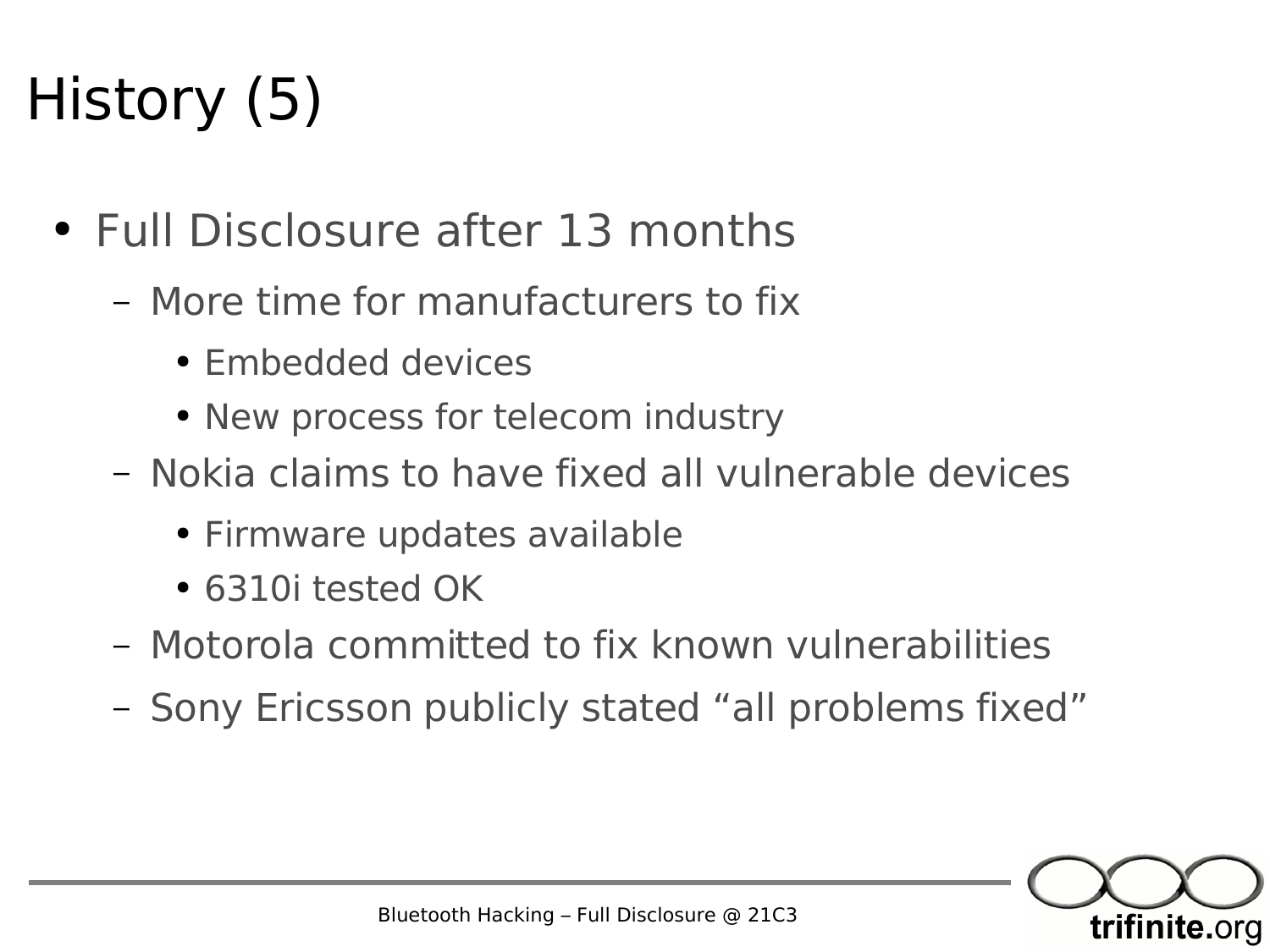#### History (5)

- Full Disclosure after 13 months
	- More time for manufacturers to fix
		- Embedded devices
		- New process for telecom industry
	- Nokia claims to have fixed all vulnerable devices
		- Firmware updates available
		- 6310i tested OK
	- Motorola committed to fix known vulnerabilities
	- Sony Ericsson publicly stated "all problems fixed"

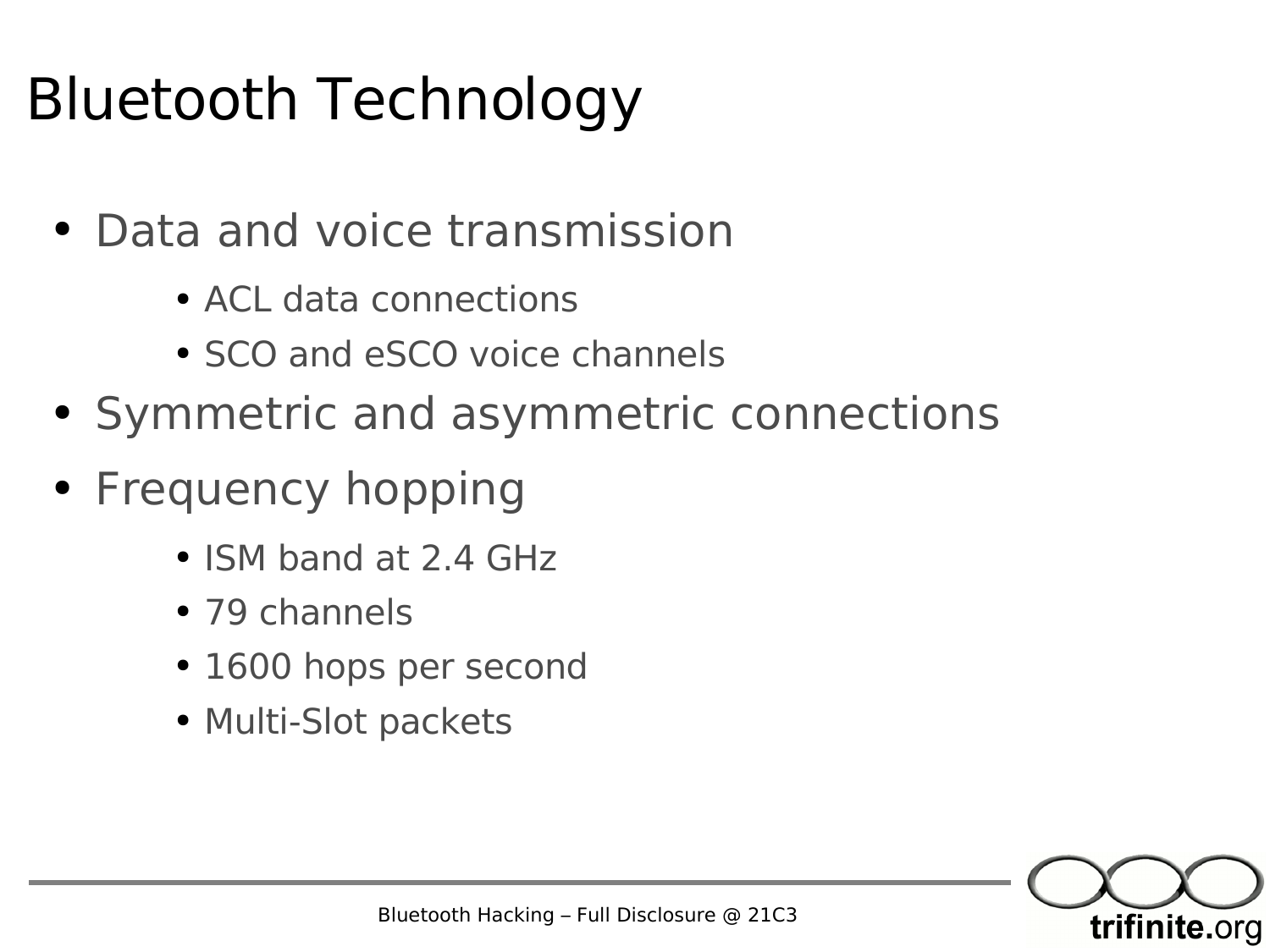#### Bluetooth Technology

- Data and voice transmission
	- ACL data connections
	- SCO and eSCO voice channels
- Symmetric and asymmetric connections
- Frequency hopping
	- ISM band at 2.4 GHz
	- 79 channels
	- 1600 hops per second
	- Multi-Slot packets

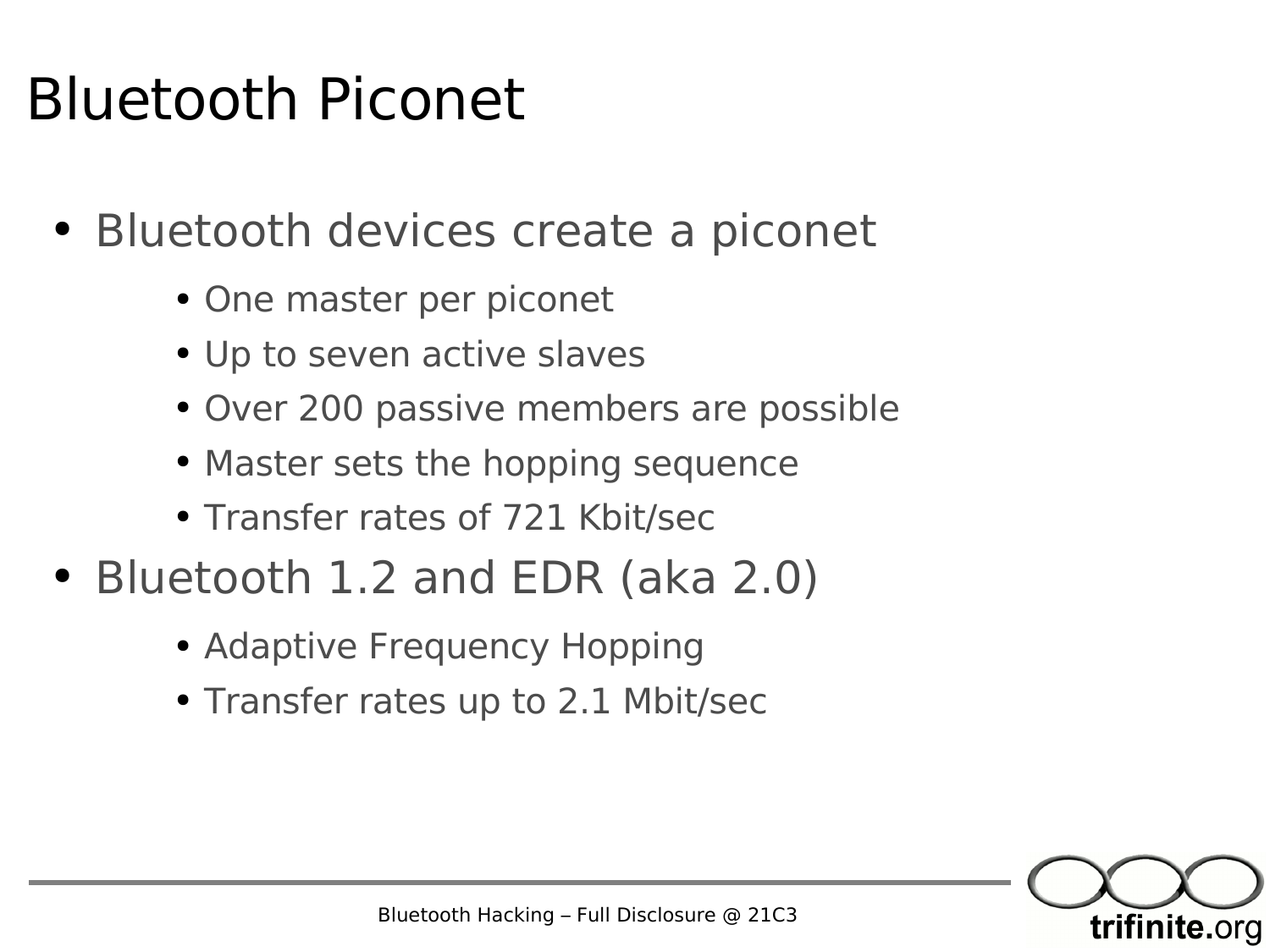#### Bluetooth Piconet

- Bluetooth devices create a piconet
	- One master per piconet
	- Up to seven active slaves
	- Over 200 passive members are possible
	- Master sets the hopping sequence
	- Transfer rates of 721 Kbit/sec
- Bluetooth 1.2 and EDR (aka 2.0)
	- Adaptive Frequency Hopping
	- Transfer rates up to 2.1 Mbit/sec

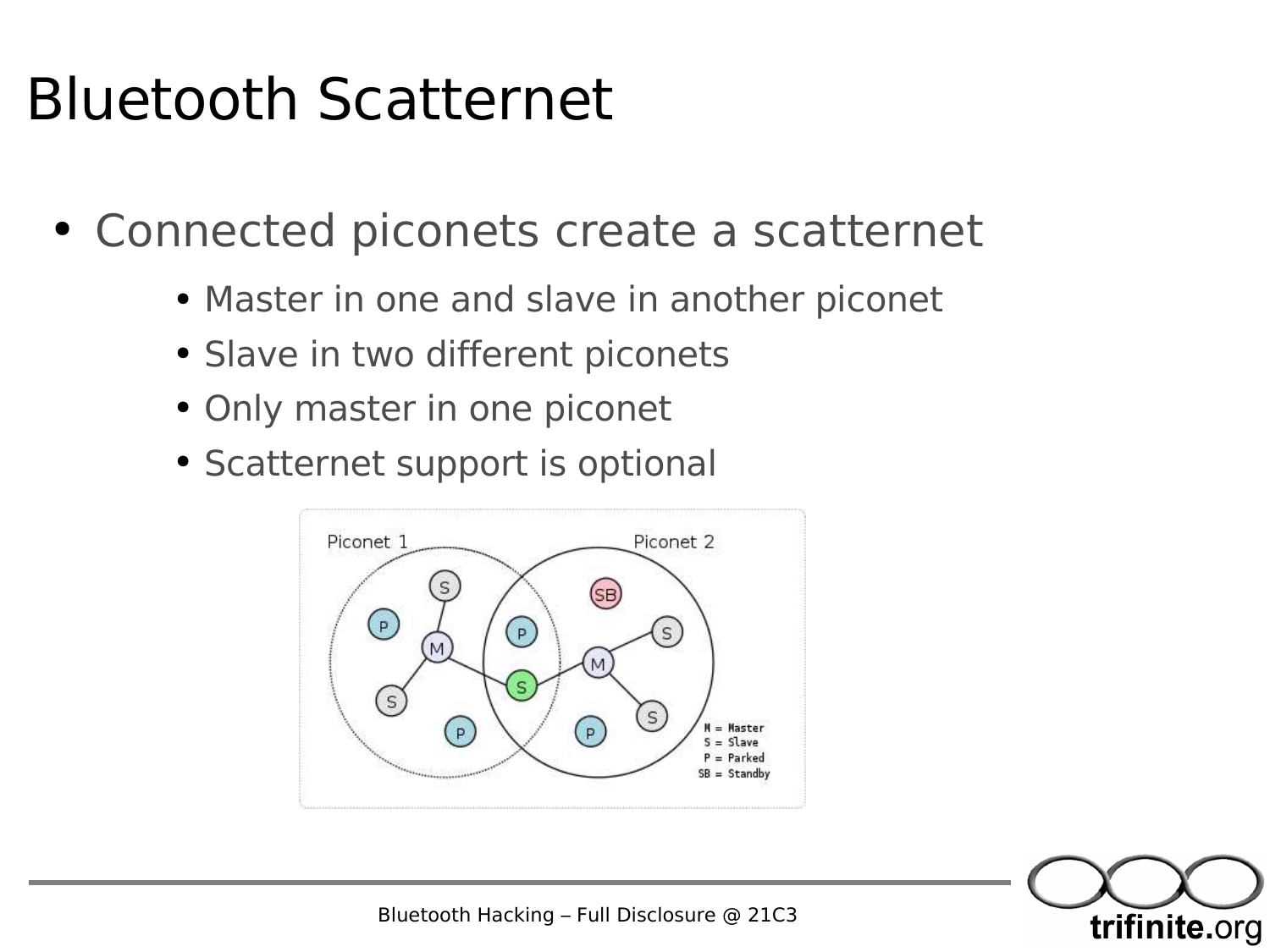#### Bluetooth Scatternet

- Connected piconets create a scatternet
	- Master in one and slave in another piconet
	- Slave in two different piconets
	- Only master in one piconet
	- Scatternet support is optional





Bluetooth Hacking – Full Disclosure @ 21C3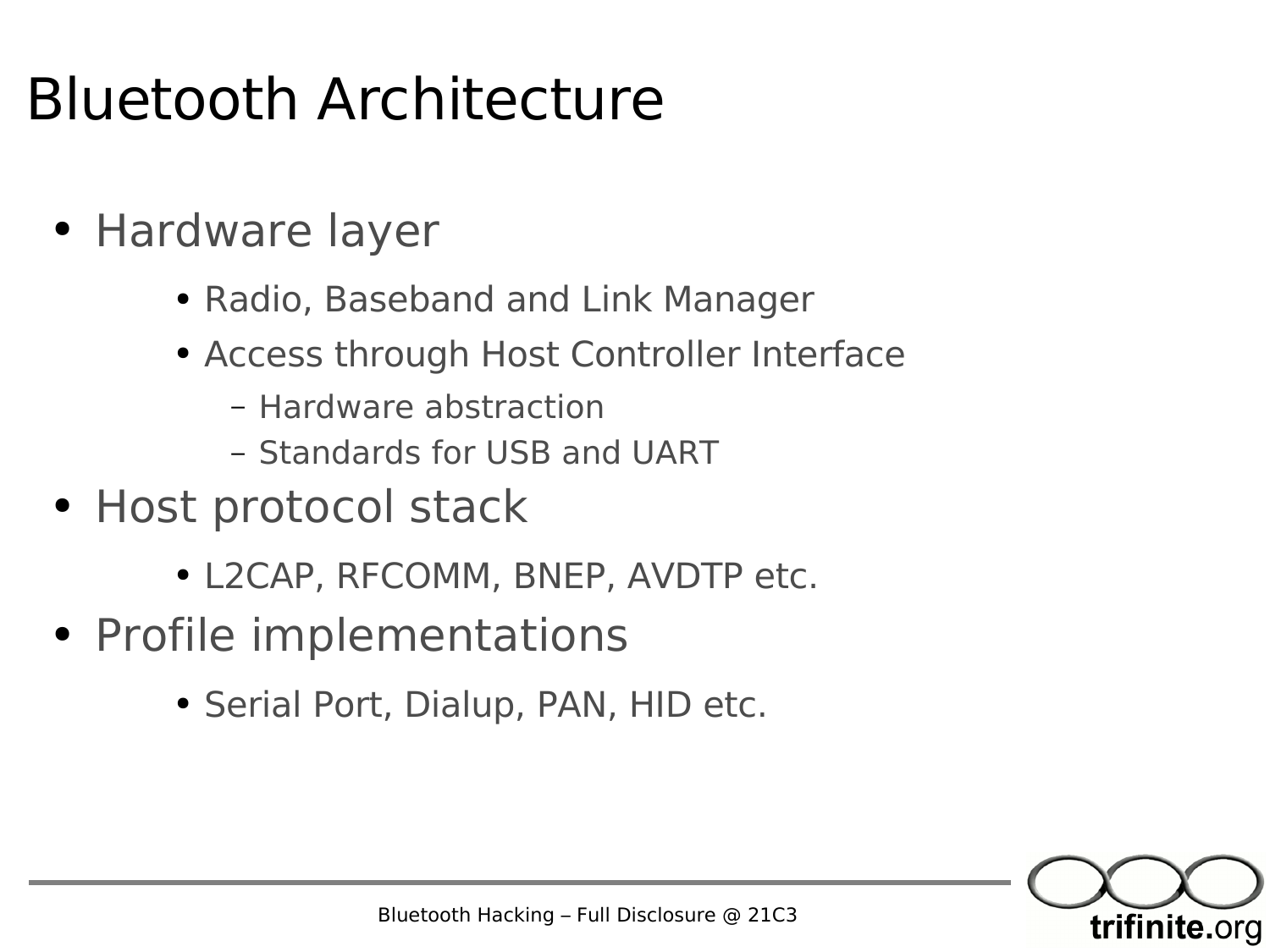#### Bluetooth Architecture

- Hardware layer
	- Radio, Baseband and Link Manager
	- Access through Host Controller Interface
		- Hardware abstraction
		- Standards for USB and UART
- Host protocol stack
	- L2CAP, RFCOMM, BNEP, AVDTP etc.
- Profile implementations
	- Serial Port, Dialup, PAN, HID etc.

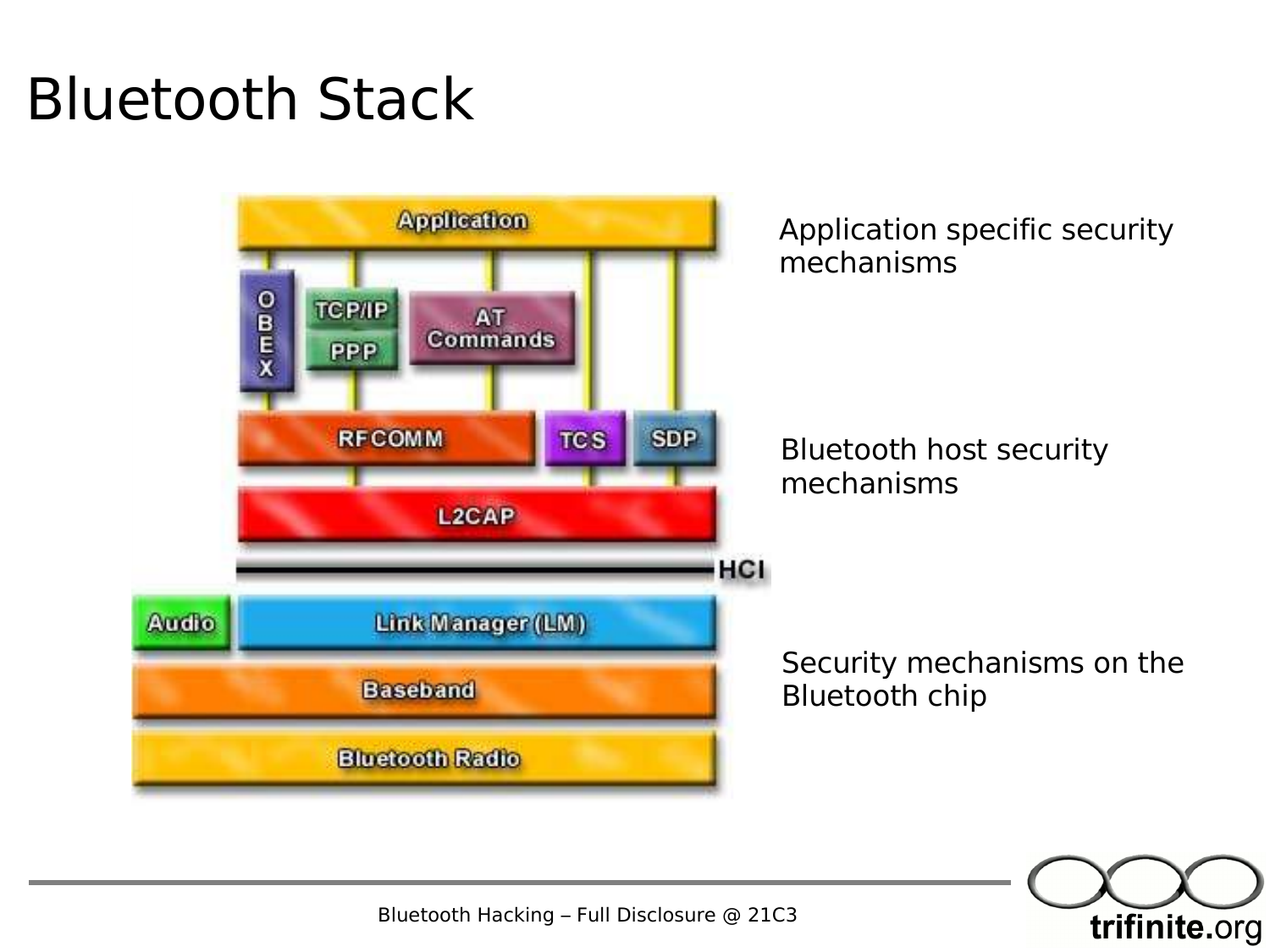#### Bluetooth Stack



trifinite.org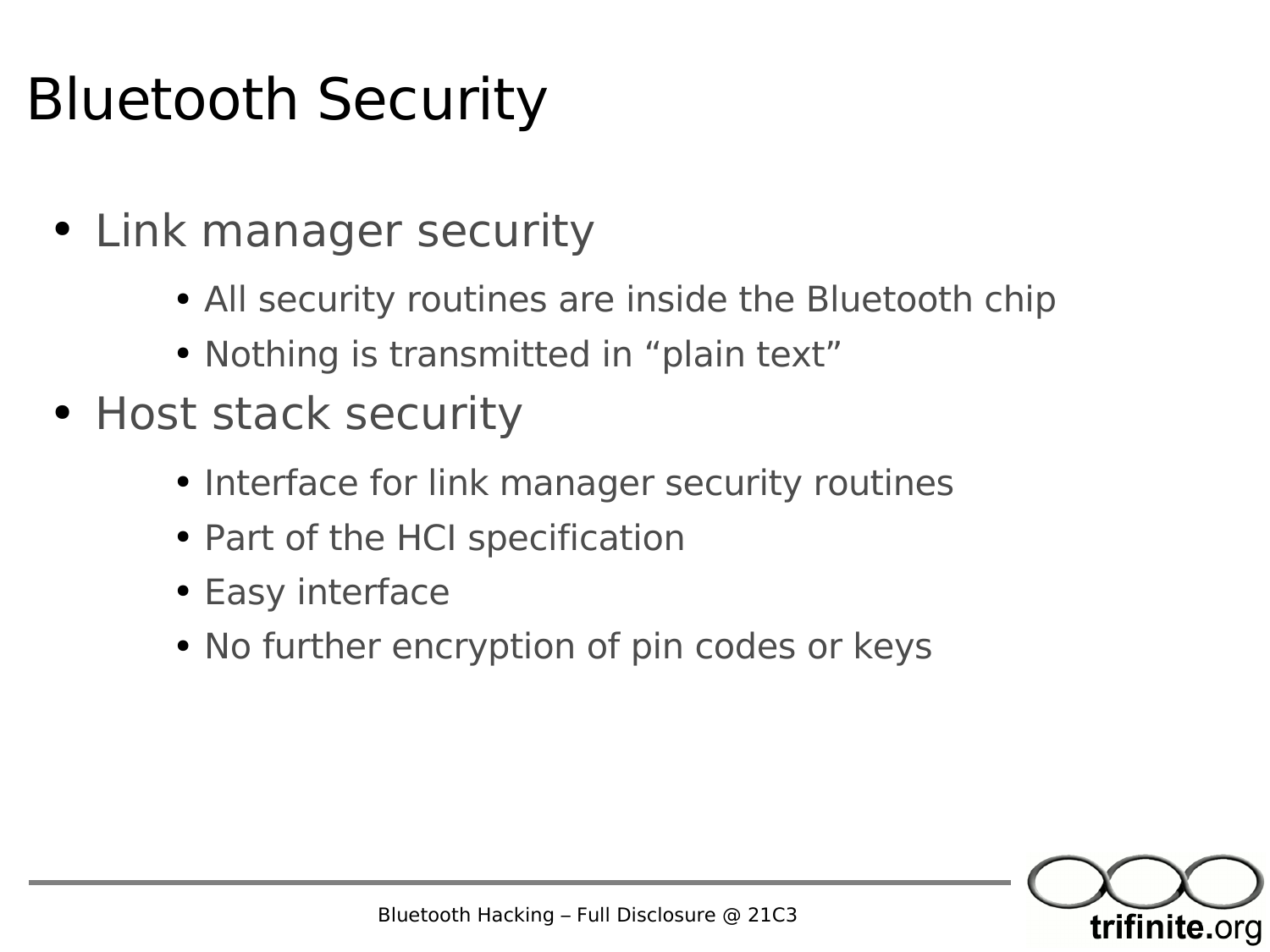#### Bluetooth Security

- Link manager security
	- All security routines are inside the Bluetooth chip
	- Nothing is transmitted in "plain text"
- Host stack security
	- Interface for link manager security routines
	- Part of the HCI specification
	- Easy interface
	- No further encryption of pin codes or keys

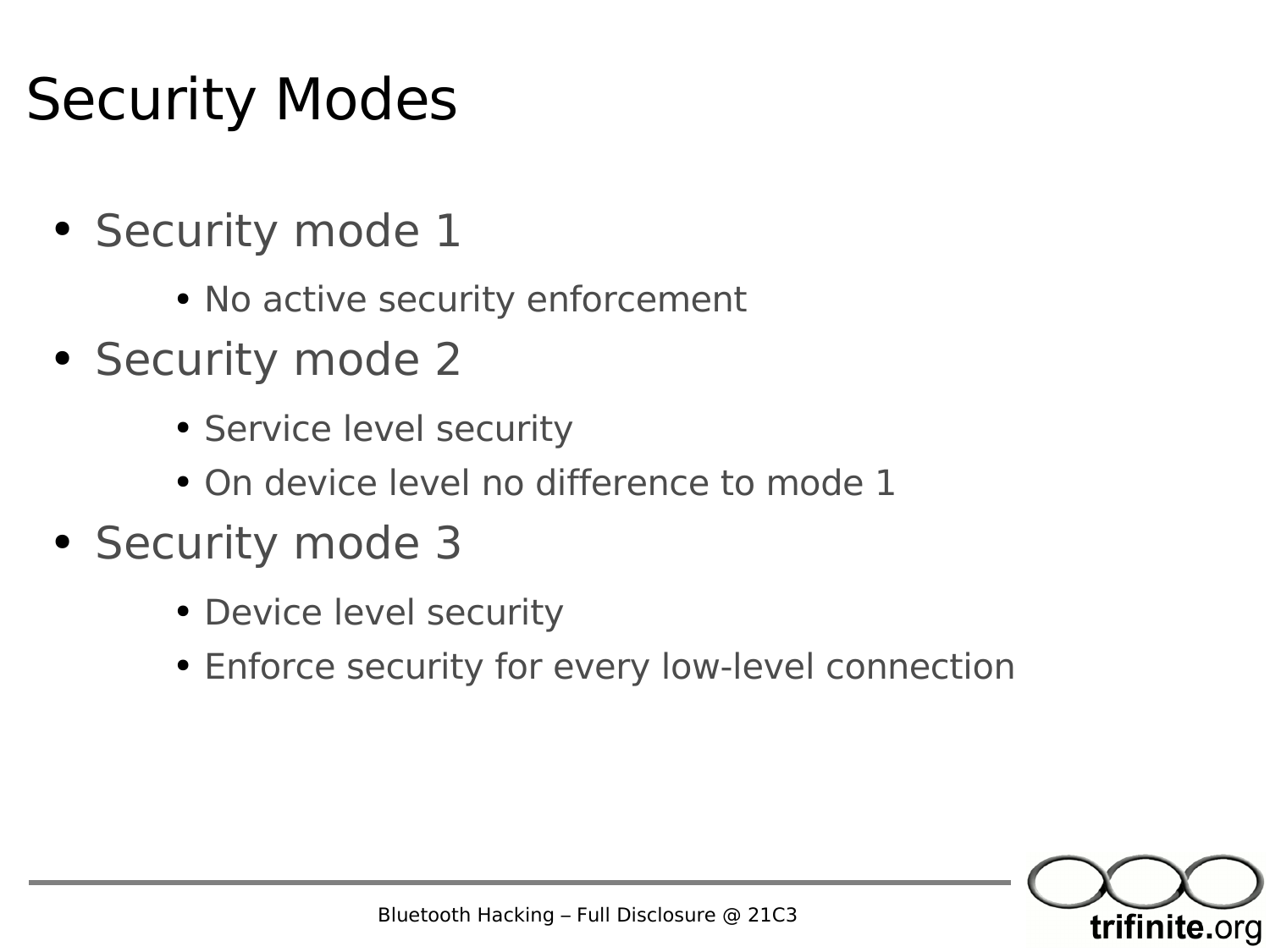#### Security Modes

- Security mode 1
	- No active security enforcement
- Security mode 2
	- Service level security
	- On device level no difference to mode 1
- Security mode 3
	- Device level security
	- Enforce security for every low-level connection

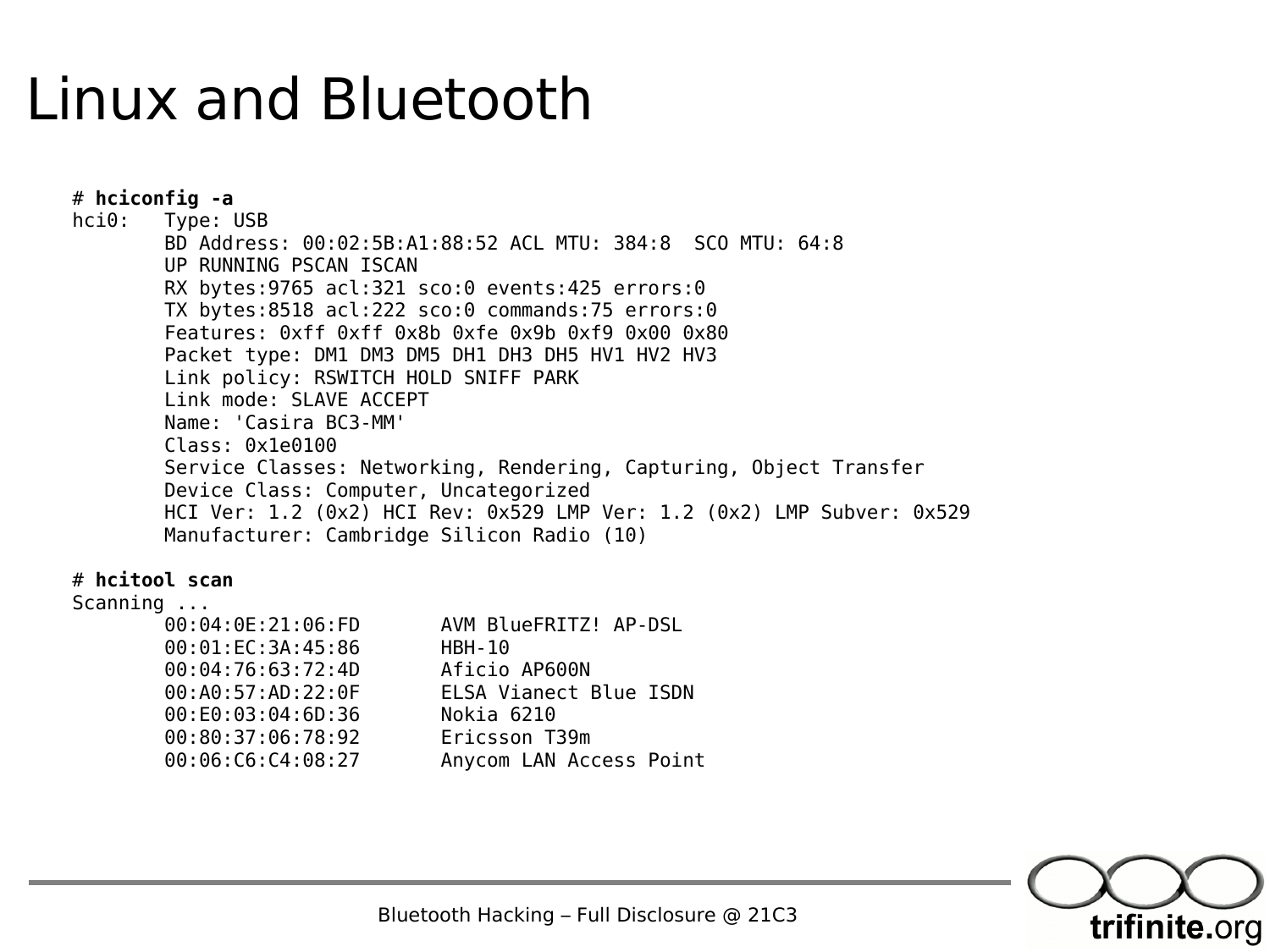#### Linux and Bluetooth

# **hciconfig -a** hci0: Type: USB BD Address: 00:02:5B:A1:88:52 ACL MTU: 384:8 SCO MTU: 64:8 UP RUNNING PSCAN ISCAN RX bytes:9765 acl:321 sco:0 events:425 errors:0 TX bytes:8518 acl:222 sco:0 commands:75 errors:0 Features: 0xff 0xff 0x8b 0xfe 0x9b 0xf9 0x00 0x80 Packet type: DM1 DM3 DM5 DH1 DH3 DH5 HV1 HV2 HV3 Link policy: RSWITCH HOLD SNIFF PARK Link mode: SLAVE ACCEPT Name: 'Casira BC3-MM' Class: 0x1e0100 Service Classes: Networking, Rendering, Capturing, Object Transfer Device Class: Computer, Uncategorized HCI Ver: 1.2 (0x2) HCI Rev: 0x529 LMP Ver: 1.2 (0x2) LMP Subver: 0x529 Manufacturer: Cambridge Silicon Radio (10)

# **hcitool scan**

#### Scanning ...

| 00:04:0E:21:06:FD      | AVM BlueFRITZ! AP-DSL   |
|------------------------|-------------------------|
| 00:01:EC:3A:45:86      | <b>HBH-10</b>           |
| 00:04:76:63:72:4D      | Aficio AP600N           |
| 00:AA0:57:AD:22:0F     | ELSA Vianect Blue ISDN  |
| 00: E0: 03: 04: 6D: 36 | Nokia 6210              |
| 00:80:37:06:78:92      | Ericsson T39m           |
| 00:06:C6:C4:08:27      | Anycom LAN Access Point |



Bluetooth Hacking – Full Disclosure @ 21C3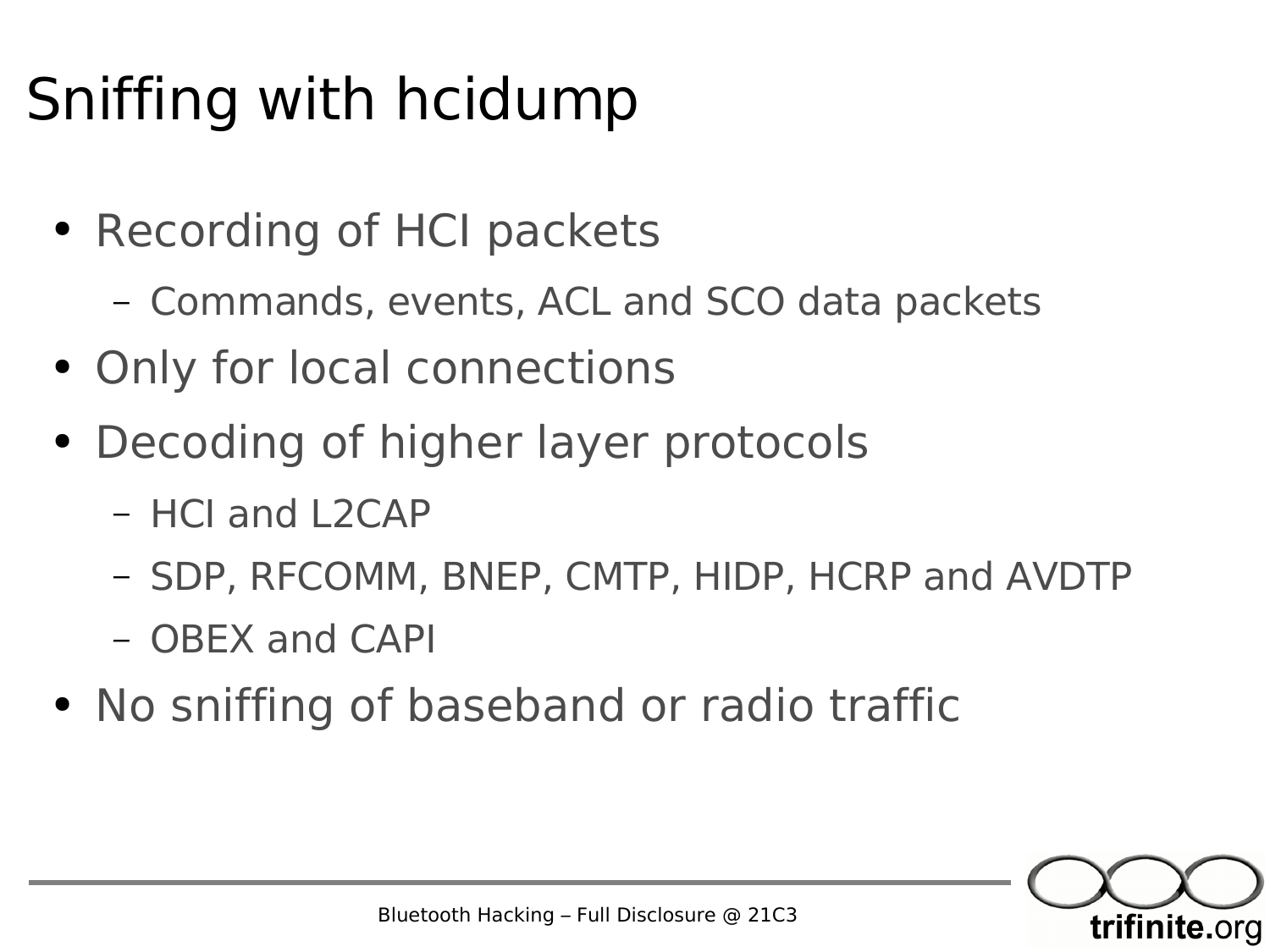#### Sniffing with hcidump

- Recording of HCI packets
	- Commands, events, ACL and SCO data packets
- Only for local connections
- Decoding of higher layer protocols
	- HCI and L2CAP
	- SDP, RFCOMM, BNEP, CMTP, HIDP, HCRP and AVDTP
	- OBEX and CAPI
- No sniffing of baseband or radio traffic

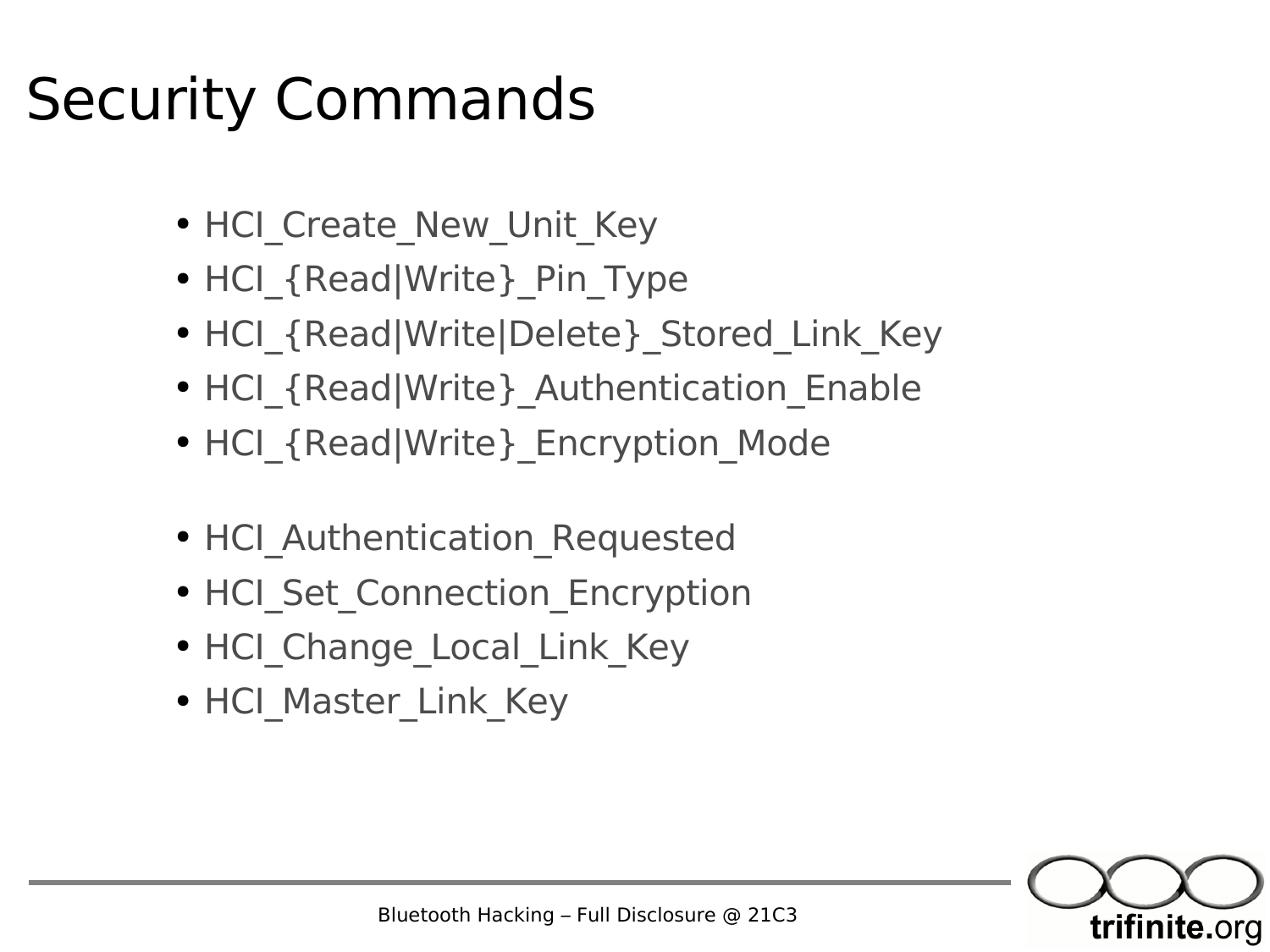#### Security Commands

- HCI Create New Unit Key
- HCI {Read|Write} Pin Type
- HCI {Read|Write|Delete} Stored\_Link\_Key
- HCI {Read|Write} Authentication Enable
- HCI {Read|Write} Encryption Mode
- HCI Authentication Requested
- HCI Set Connection Encryption
- HCI\_Change Local Link Key
- HCI Master Link Key

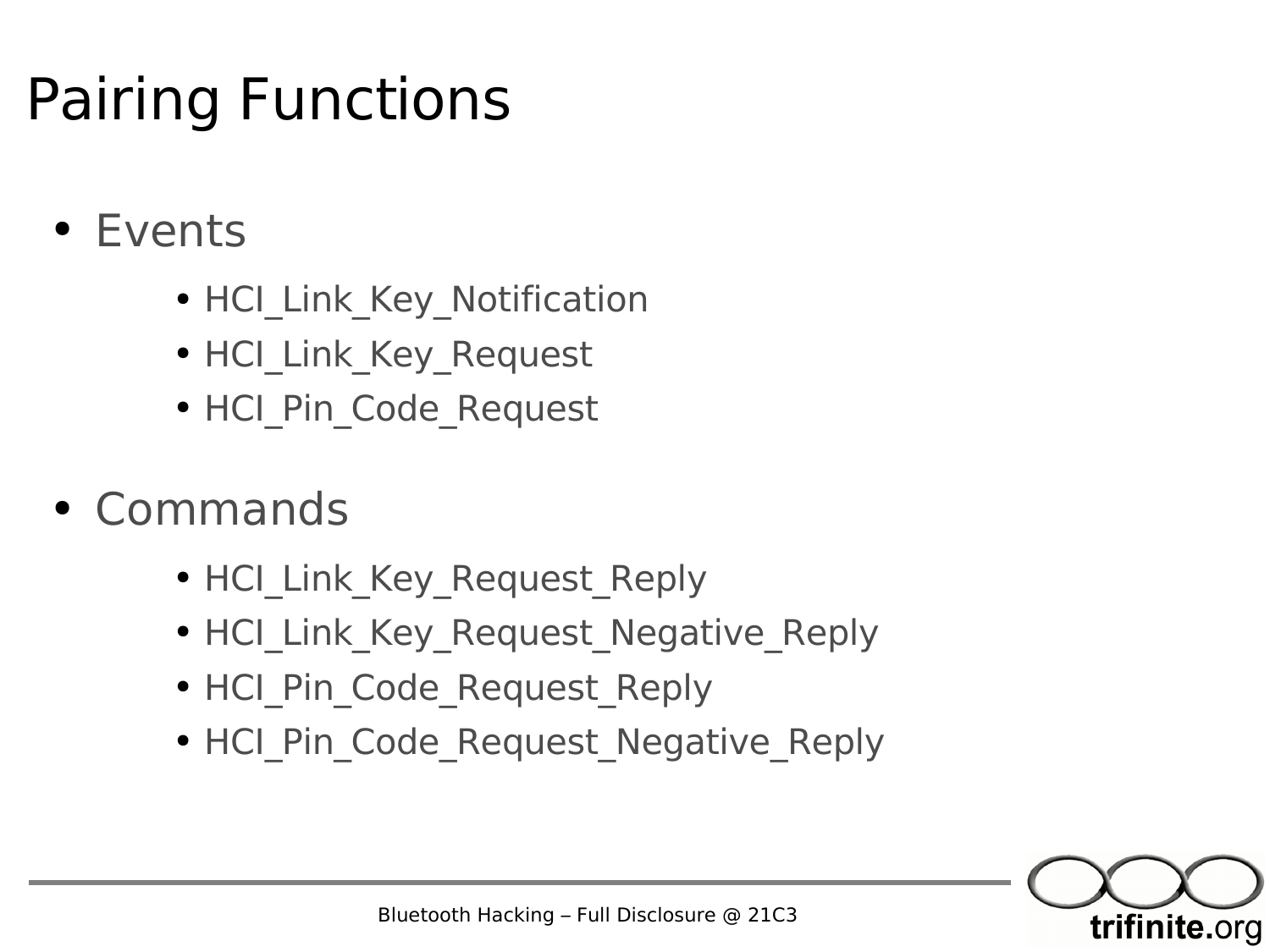#### Pairing Functions

- Events
	- HCI Link Key Notification
	- HCI Link Key Request
	- HCI Pin Code Request
- Commands
	- HCI Link Key Request Reply
	- HCI Link Key Request Negative Reply
	- HCI Pin Code Request Reply
	- HCI Pin Code Request Negative Reply

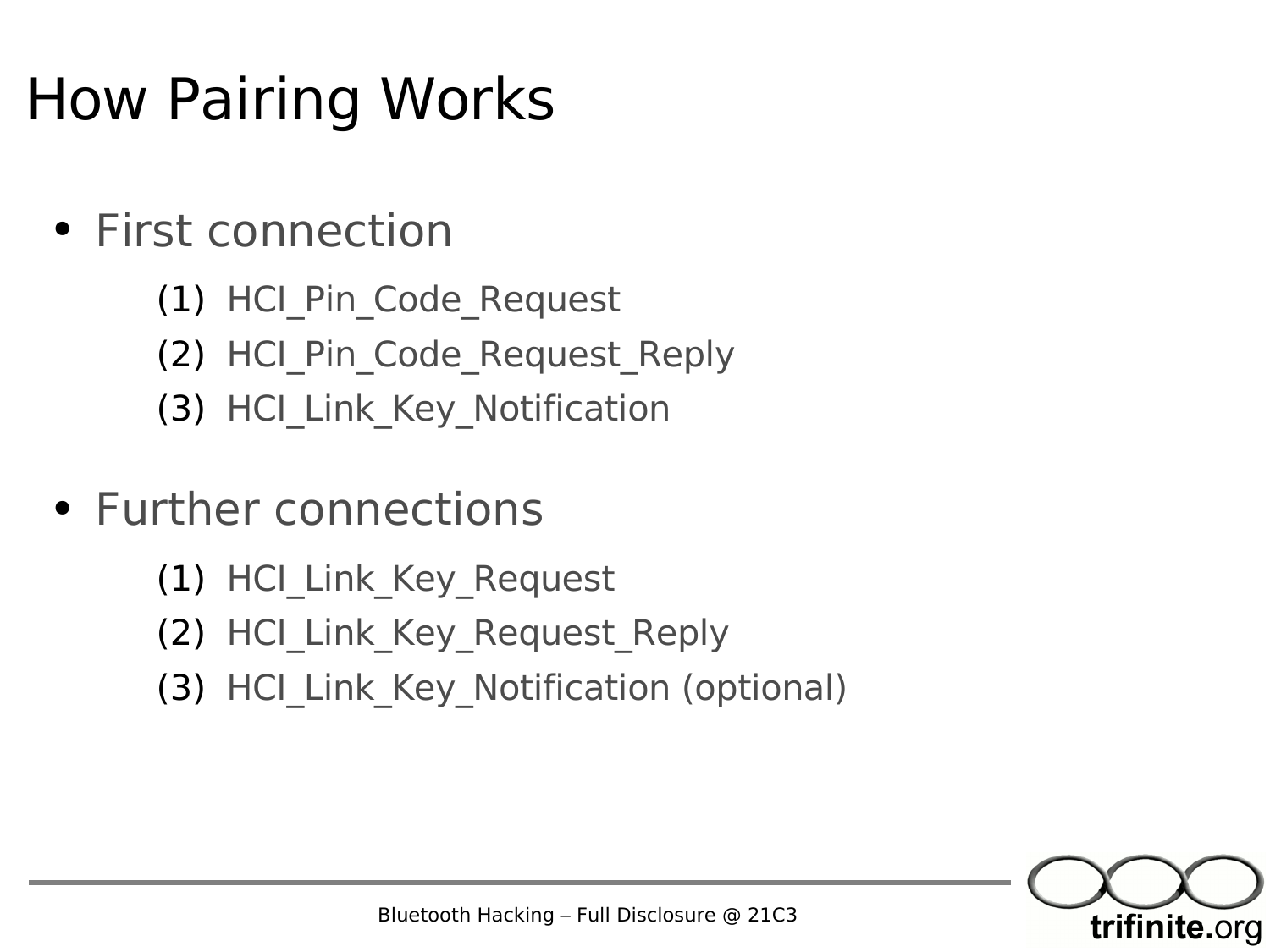#### How Pairing Works

- First connection
	- (1) HCI\_Pin\_Code\_Request
	- (2) HCI Pin Code Request Reply
	- (3) HCI Link Key Notification
- Further connections
	- (1) HCI Link Key Request
	- (2) HCI Link Key Request Reply
	- (3) HCI Link Key Notification (optional)

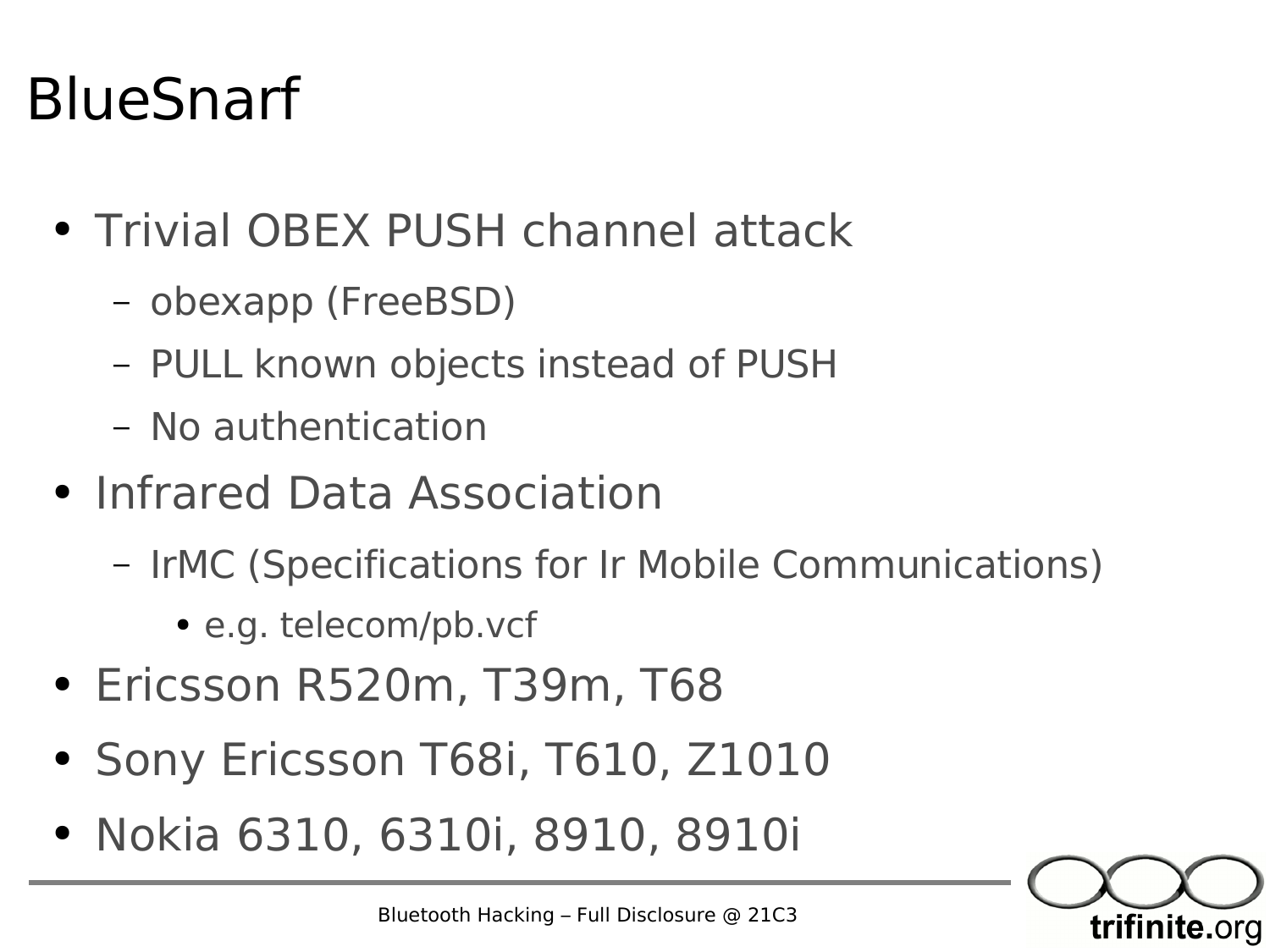#### BlueSnarf

- Trivial OBEX PUSH channel attack
	- obexapp (FreeBSD)
	- PULL known objects instead of PUSH
	- No authentication
- Infrared Data Association
	- IrMC (Specifications for Ir Mobile Communications)
		- e.g. telecom/pb.vcf
- Ericsson R520m, T39m, T68
- Sony Ericsson T68i, T610, Z1010
- Nokia 6310, 6310i, 8910, 8910i

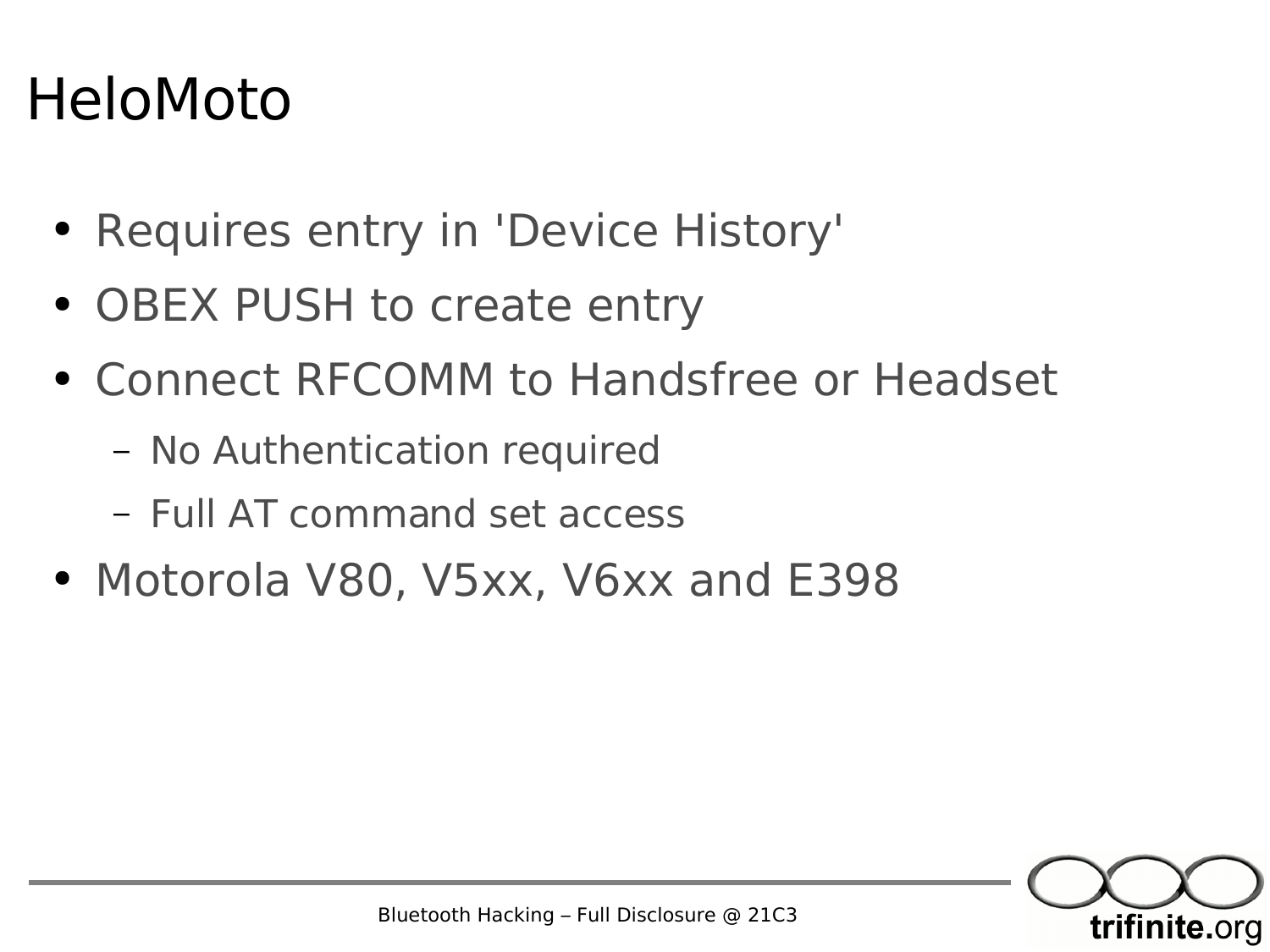#### HeloMoto

- Requires entry in 'Device History'
- OBEX PUSH to create entry
- Connect RFCOMM to Handsfree or Headset
	- No Authentication required
	- Full AT command set access
- Motorola V80, V5xx, V6xx and E398

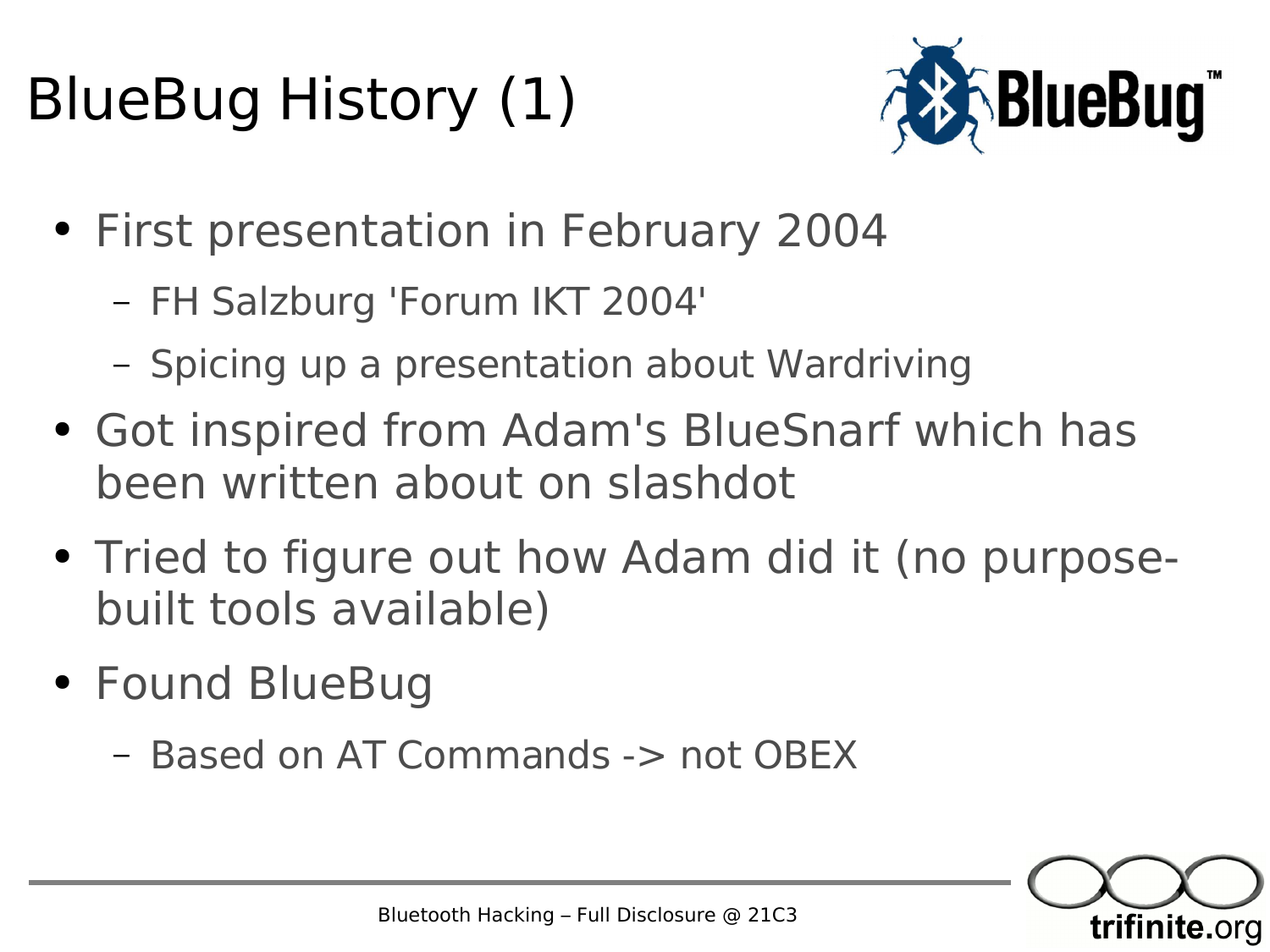#### BlueBug History (1)



- First presentation in February 2004
	- FH Salzburg 'Forum IKT 2004'
	- Spicing up a presentation about Wardriving
- Got inspired from Adam's BlueSnarf which has been written about on slashdot
- Tried to figure out how Adam did it (no purposebuilt tools available)
- Found BlueBug
	- Based on AT Commands -> not OBEX

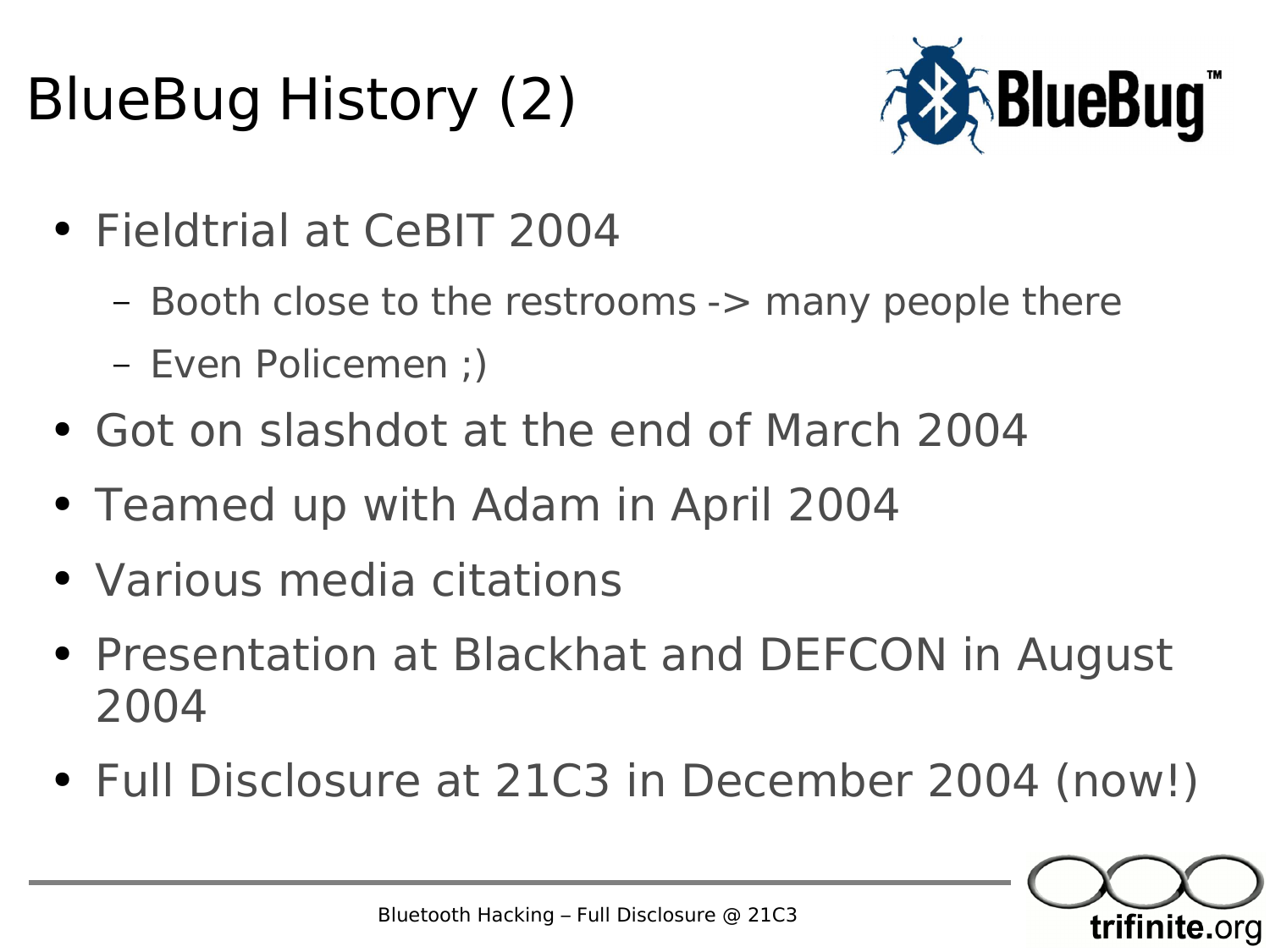#### BlueBug History (2)



- Fieldtrial at CeBIT 2004
	- Booth close to the restrooms -> many people there
	- Even Policemen ;)
- Got on slashdot at the end of March 2004
- Teamed up with Adam in April 2004
- Various media citations
- Presentation at Blackhat and DEFCON in August 2004
- Full Disclosure at 21C3 in December 2004 (now!)

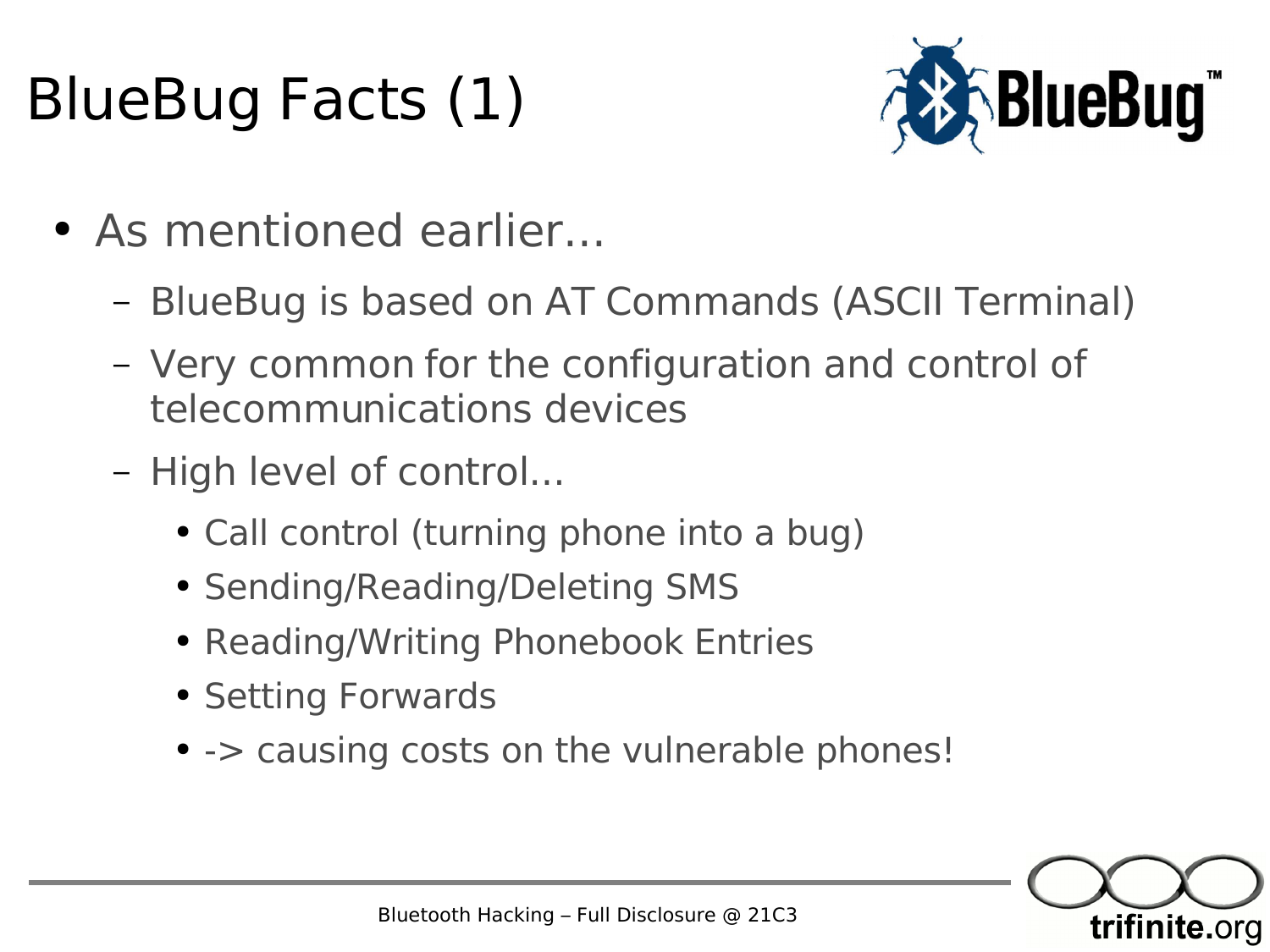#### BlueBug Facts (1)



- As mentioned earlier...
	- BlueBug is based on AT Commands (ASCII Terminal)
	- Very common for the configuration and control of telecommunications devices
	- High level of control...
		- Call control (turning phone into a bug)
		- Sending/Reading/Deleting SMS
		- Reading/Writing Phonebook Entries
		- Setting Forwards
		- - > causing costs on the vulnerable phones!

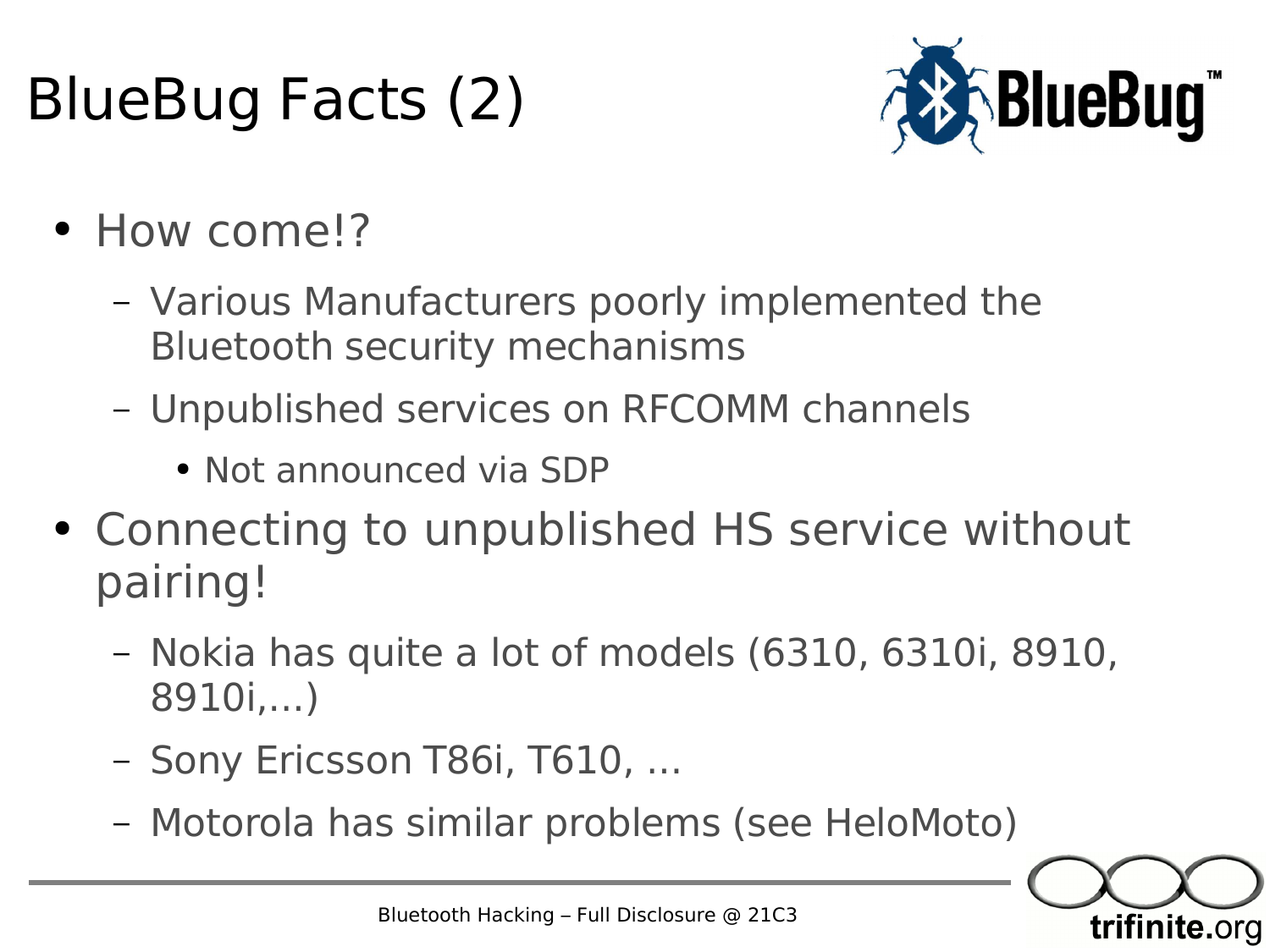#### BlueBug Facts (2)



- How come!?
	- Various Manufacturers poorly implemented the Bluetooth security mechanisms
	- Unpublished services on RFCOMM channels
		- Not announced via SDP
- Connecting to unpublished HS service without pairing!
	- Nokia has quite a lot of models (6310, 6310i, 8910, 8910i,...)
	- Sony Ericsson T86i, T610, ...
	- Motorola has similar problems (see HeloMoto)

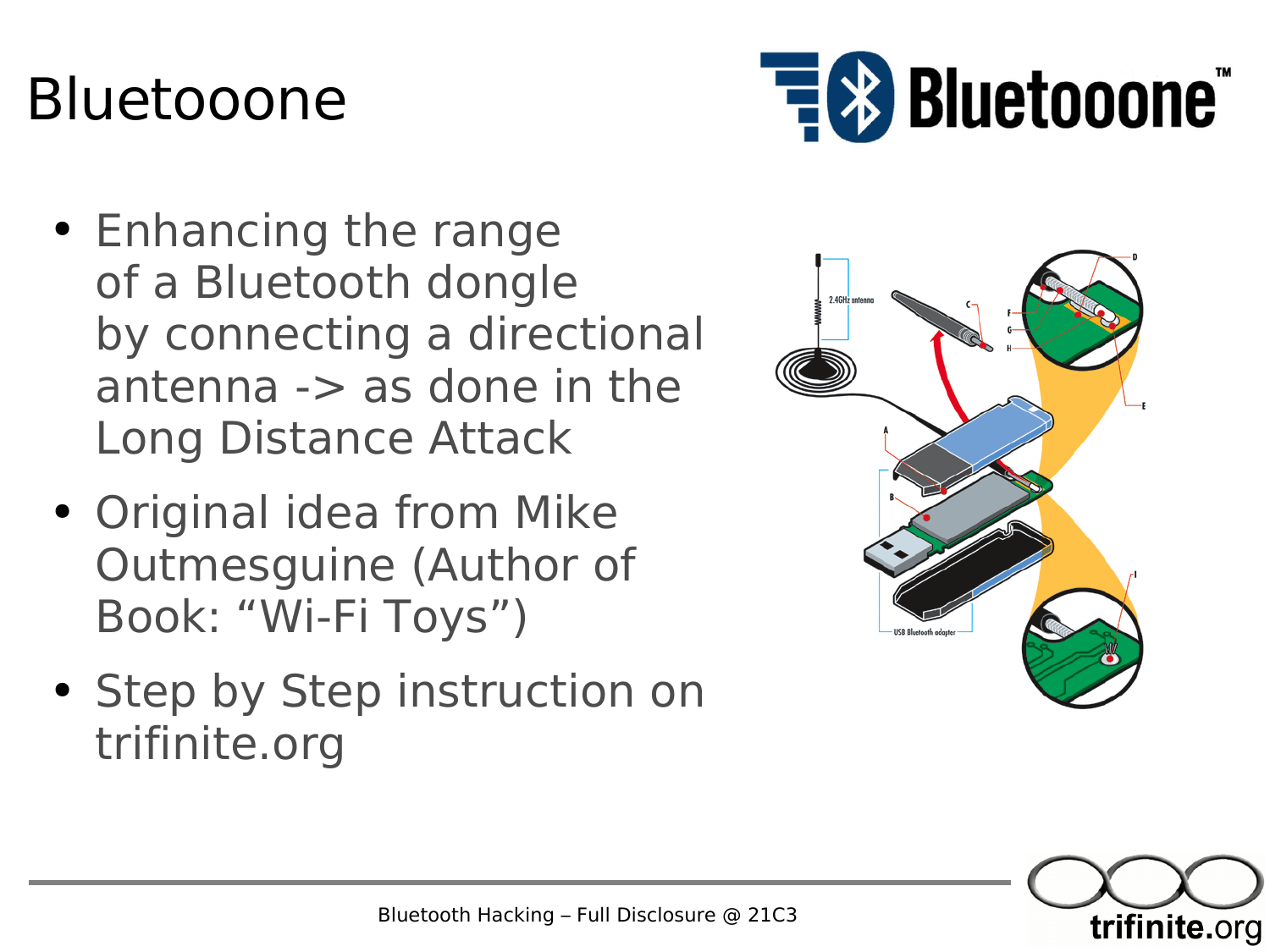#### Bluetooone



- Enhancing the range of a Bluetooth dongle by connecting a directional antenna -> as done in the Long Distance Attack
- Original idea from Mike Outmesguine (Author of Book: "Wi-Fi Toys")
- Step by Step instruction on trifinite.org



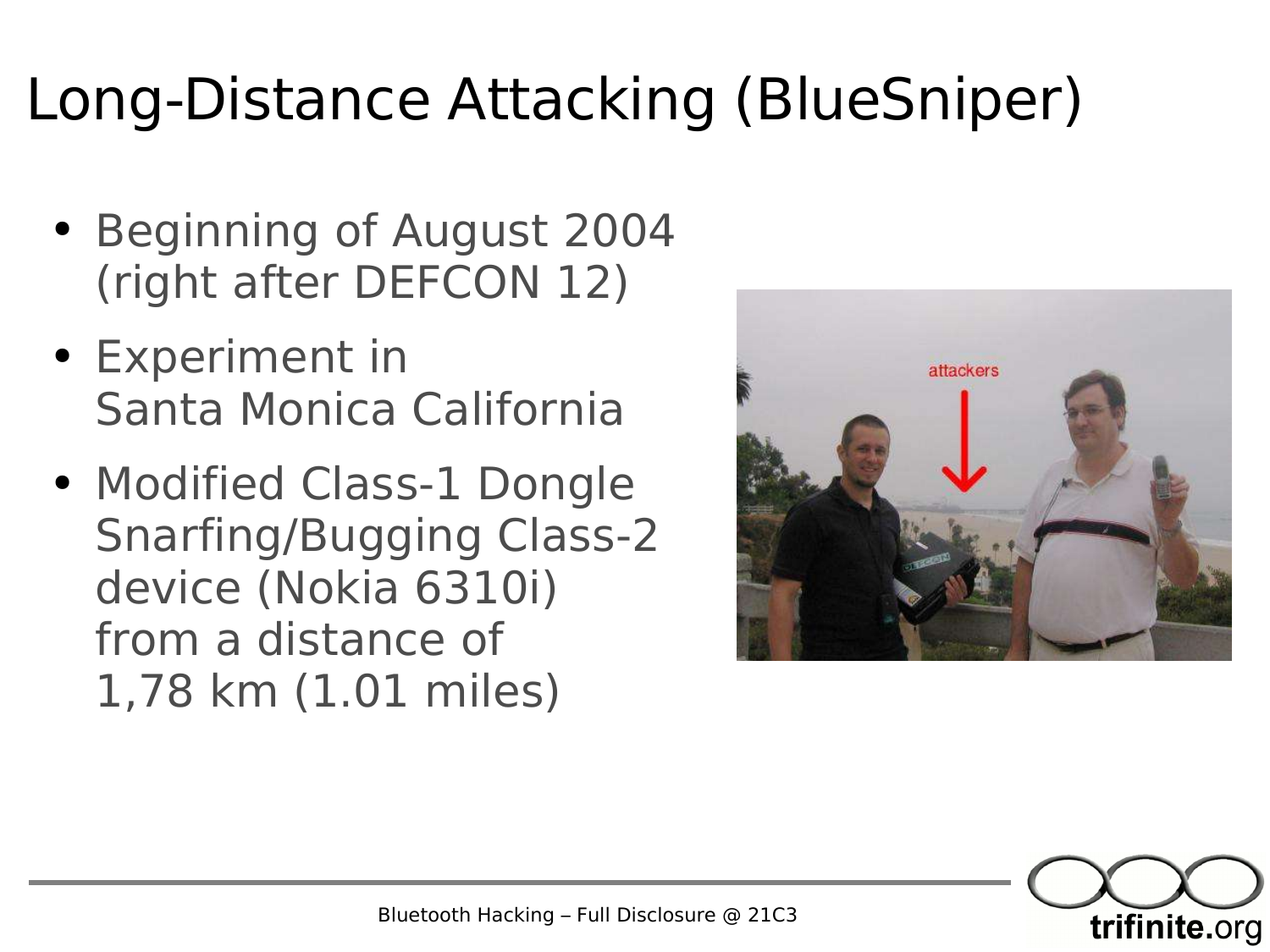#### Long-Distance Attacking (BlueSniper)

- Beginning of August 2004 (right after DEFCON 12)
- Experiment in Santa Monica California
- Modified Class-1 Dongle Snarfing/Bugging Class-2 device (Nokia 6310i) from a distance of 1,78 km (1.01 miles)



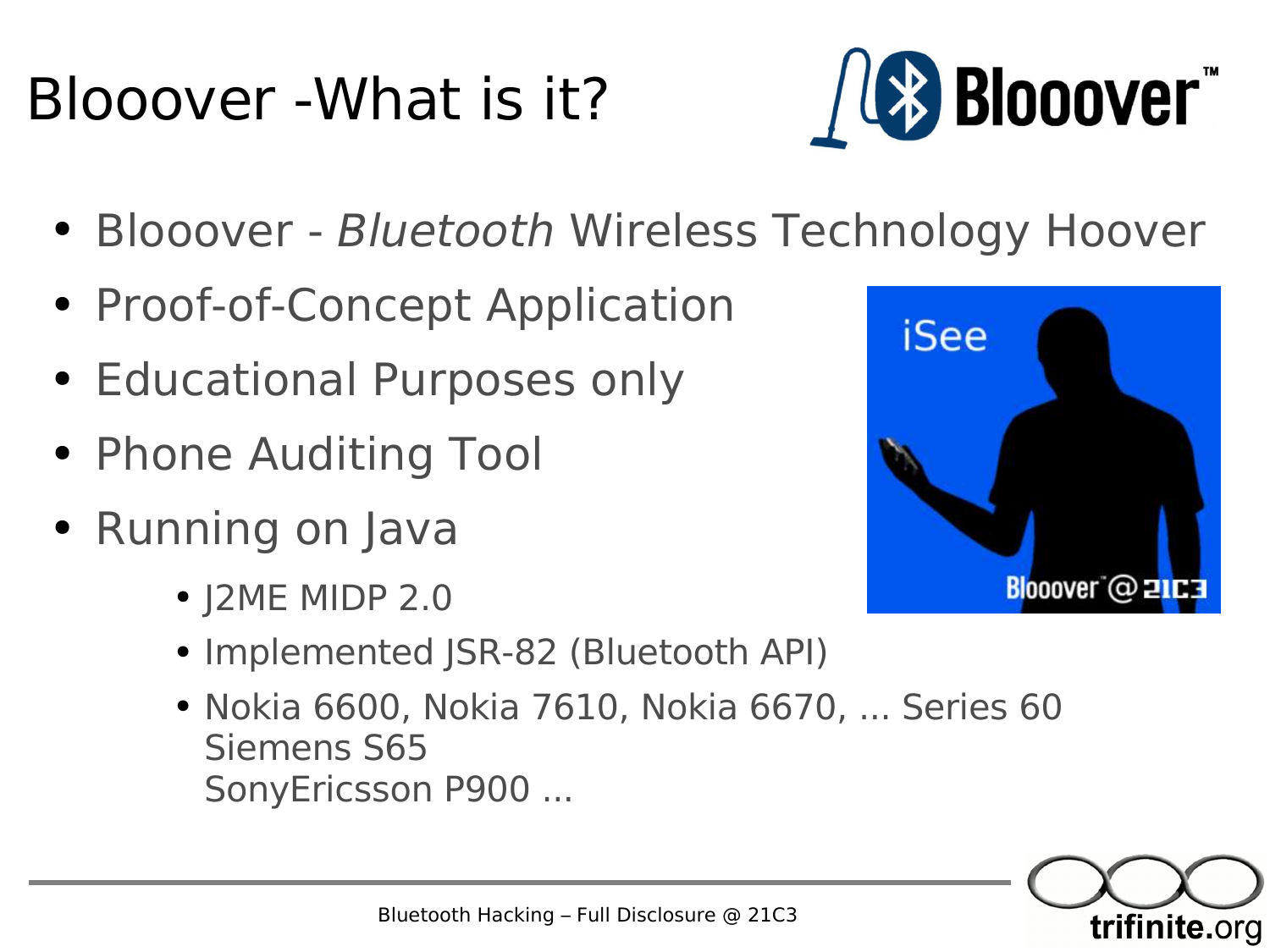#### Blooover -What is it?



- Blooover Bluetooth Wireless Technology Hoover
- Proof-of-Concept Application
- Educational Purposes only
- Phone Auditing Tool
- Running on Java
	- J2ME MIDP 2.0
	- Implemented JSR-82 (Bluetooth API)
	- Nokia 6600, Nokia 7610, Nokia 6670, ... Series 60 Siemens S65 SonyEricsson P900 ...

![](_page_31_Picture_10.jpeg)

![](_page_31_Picture_11.jpeg)

Bluetooth Hacking – Full Disclosure @ 21C3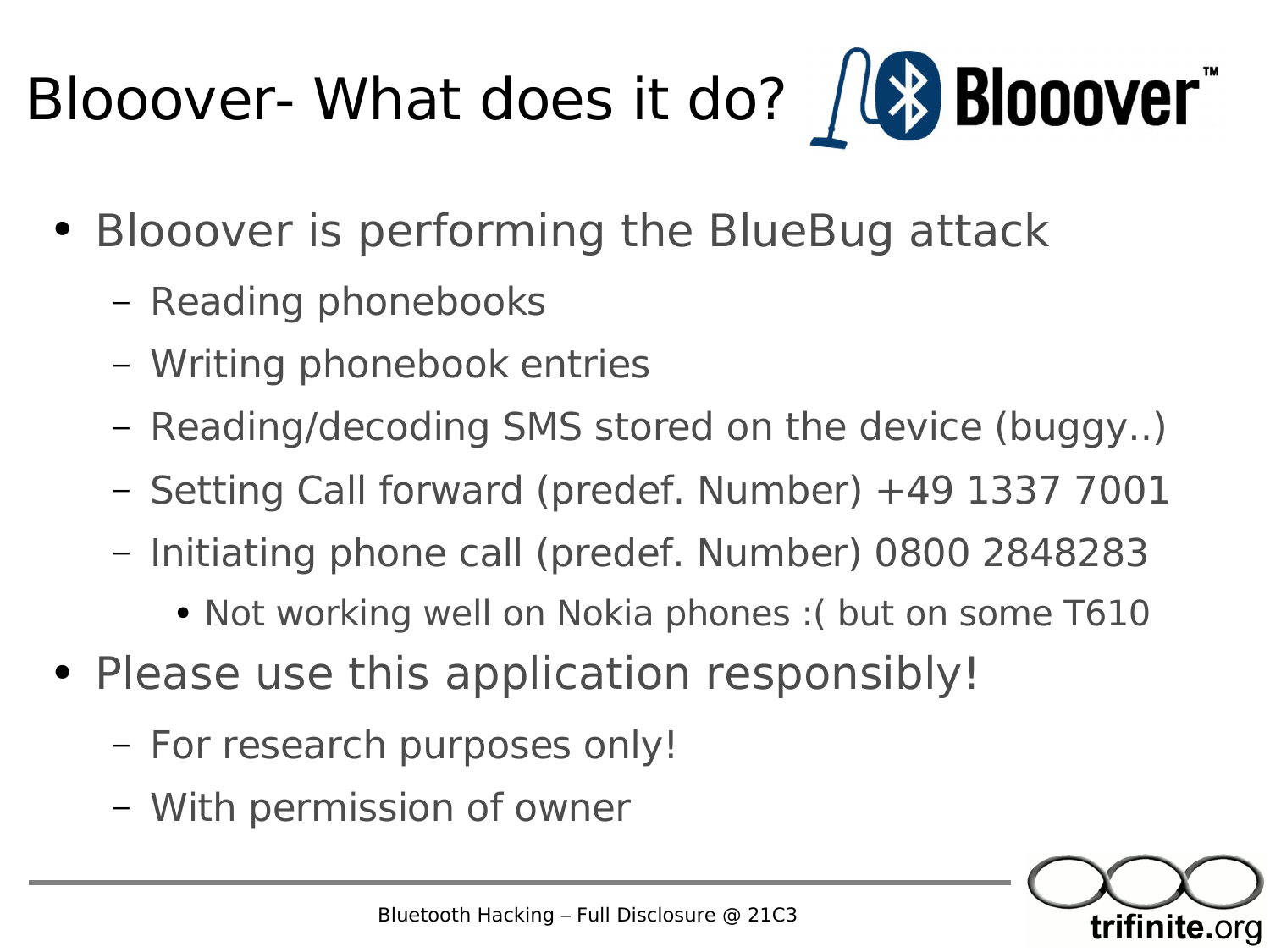# Blooover- What does it do? / (\* Blooover"

- Blooover is performing the BlueBug attack
	- Reading phonebooks
	- Writing phonebook entries
	- Reading/decoding SMS stored on the device (buggy..)
	- Setting Call forward (predef. Number) +49 1337 7001
	- Initiating phone call (predef. Number) 0800 2848283
		- Not working well on Nokia phones : ( but on some T610
- Please use this application responsibly!
	- For research purposes only!
	- With permission of owner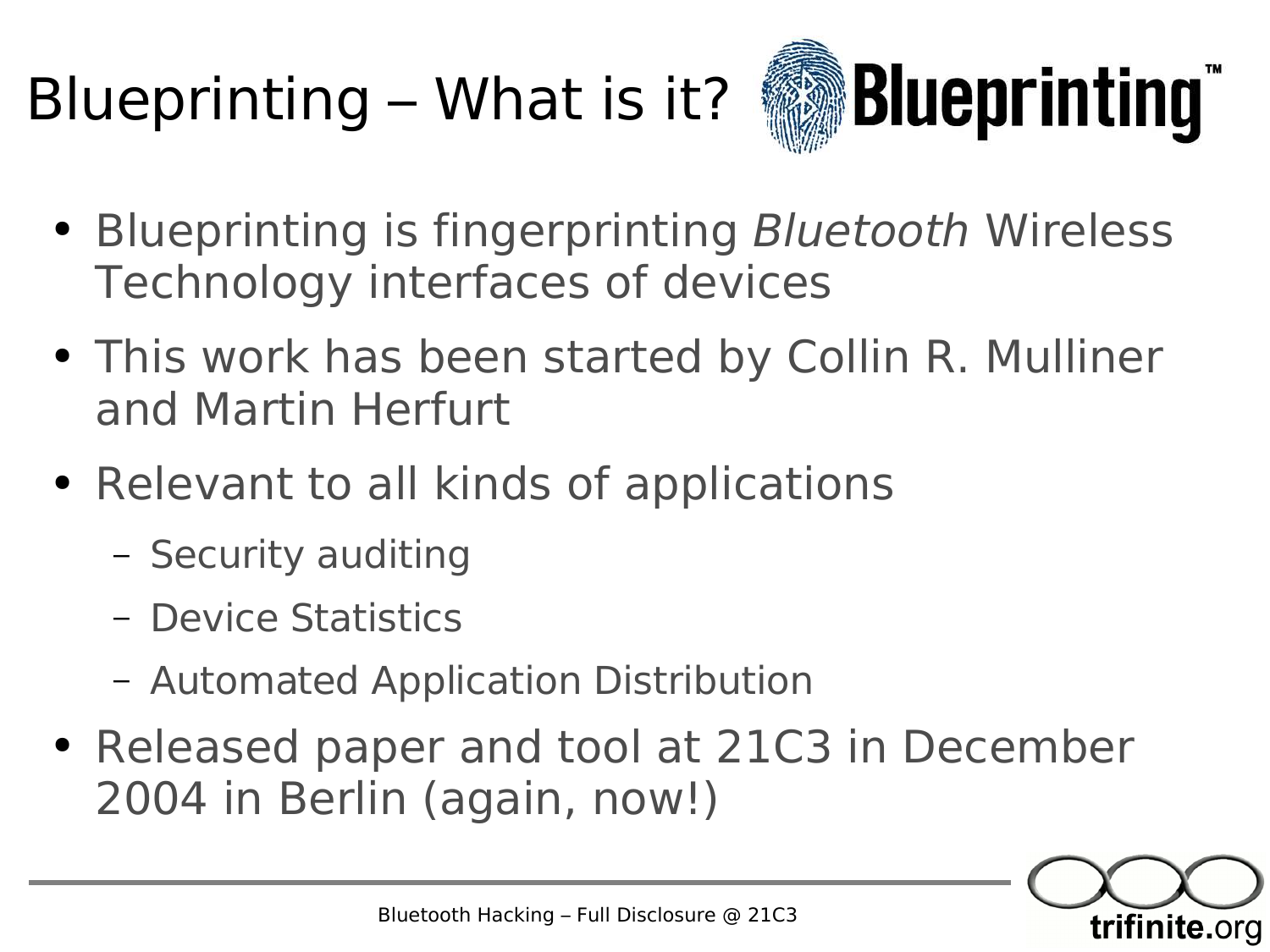# Blueprinting – What is it?

![](_page_33_Picture_1.jpeg)

- Blueprinting is fingerprinting Bluetooth Wireless Technology interfaces of devices
- This work has been started by Collin R. Mulliner and Martin Herfurt
- Relevant to all kinds of applications
	- Security auditing
	- Device Statistics
	- Automated Application Distribution
- Released paper and tool at 21C3 in December 2004 in Berlin (again, now!)

![](_page_33_Picture_9.jpeg)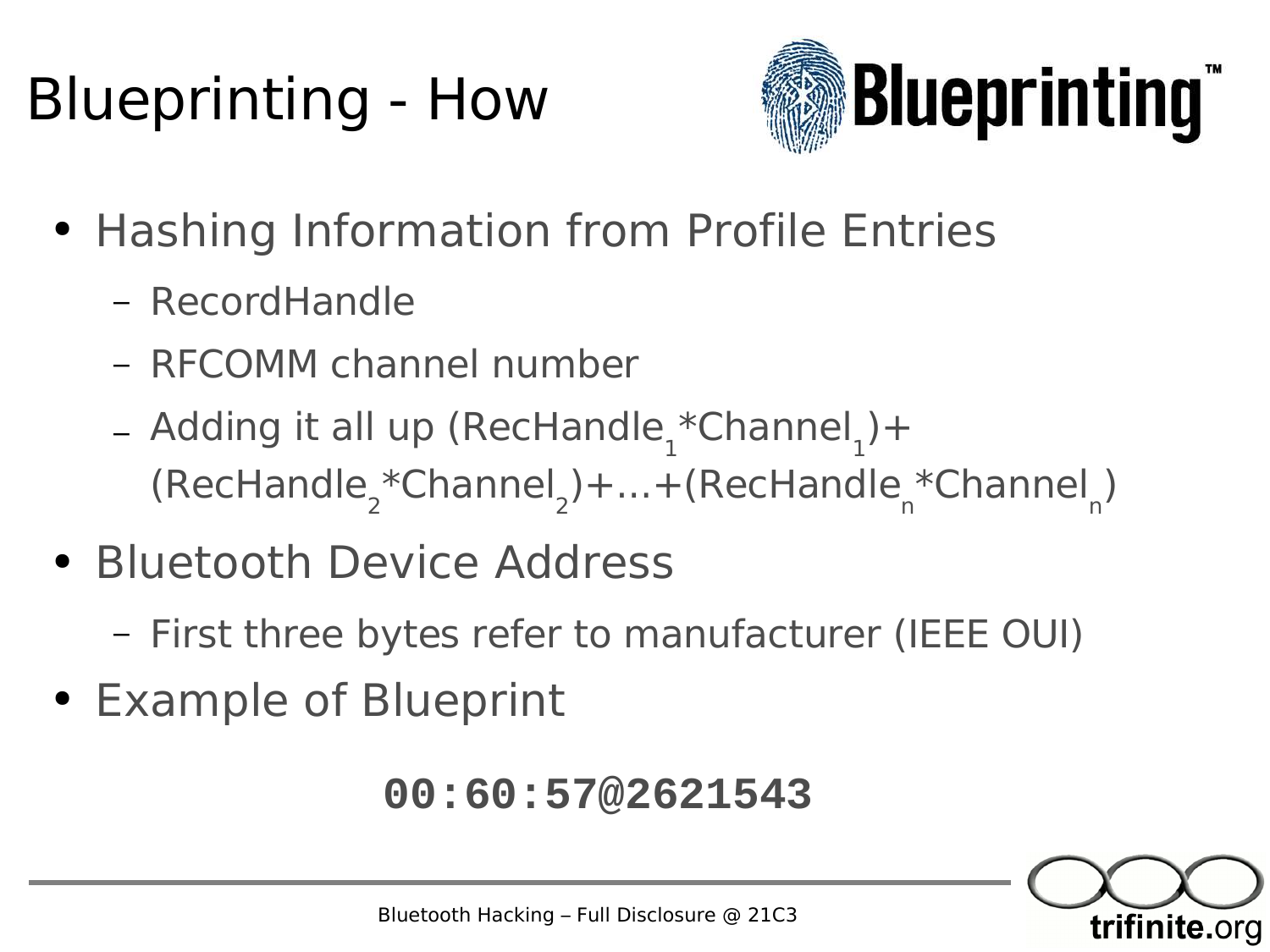#### Blueprinting - How

![](_page_34_Picture_1.jpeg)

- Hashing Information from Profile Entries
	- RecordHandle
	- RFCOMM channel number
	- Adding it all up (RecHandle<sub>1</sub>\*Channel 1  $)+$ (RecHandle<sub>2</sub>\*Channel 2 )+...+(RecHandle n \*Channel n )
- Bluetooth Device Address
	- First three bytes refer to manufacturer (IEEE OUI)
- Example of Blueprint

#### **00:60:57@2621543**

![](_page_34_Picture_10.jpeg)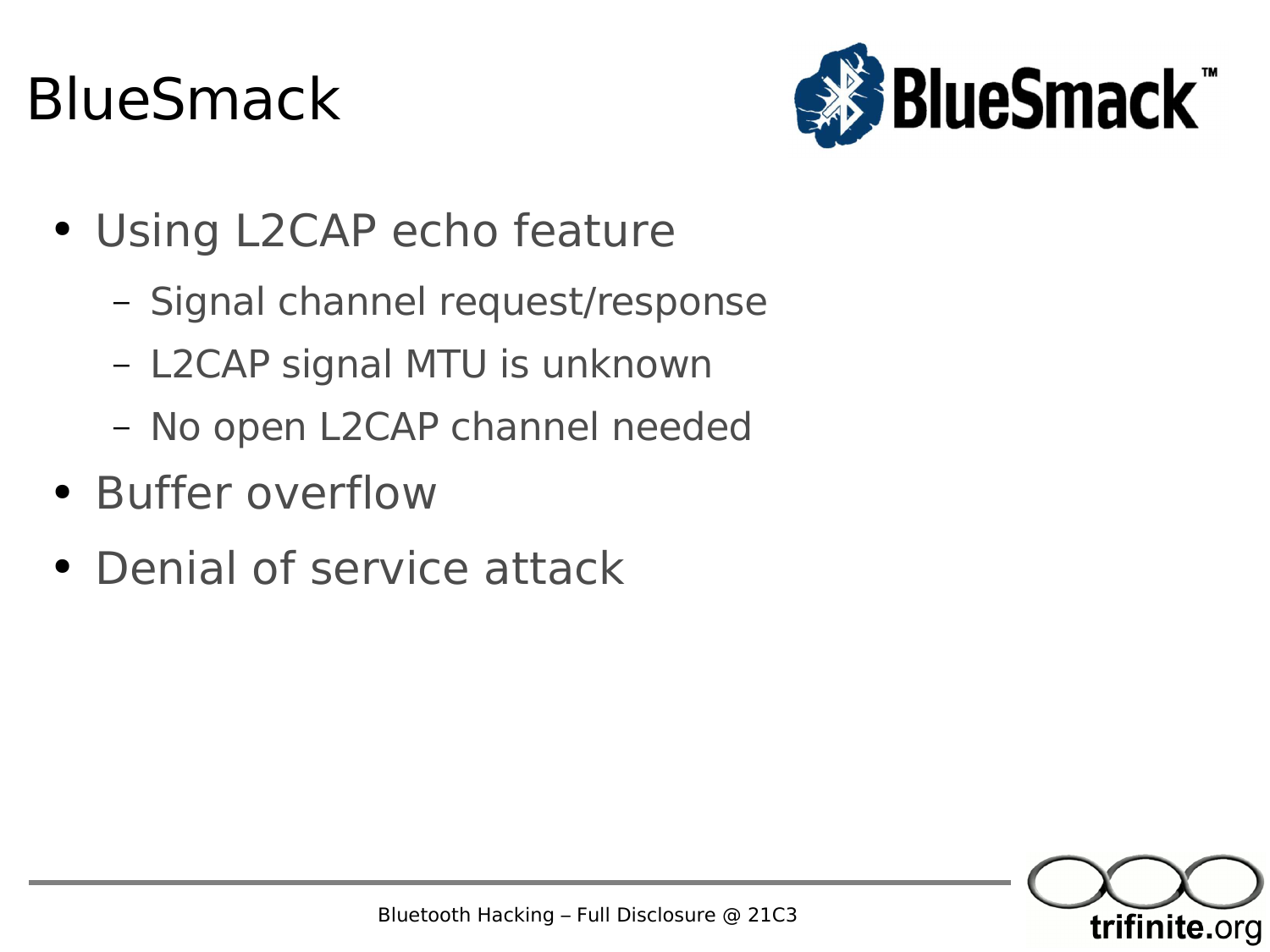#### BlueSmack

![](_page_35_Picture_1.jpeg)

- Using L2CAP echo feature
	- Signal channel request/response
	- L2CAP signal MTU is unknown
	- No open L2CAP channel needed
- Buffer overflow
- Denial of service attack

![](_page_35_Picture_8.jpeg)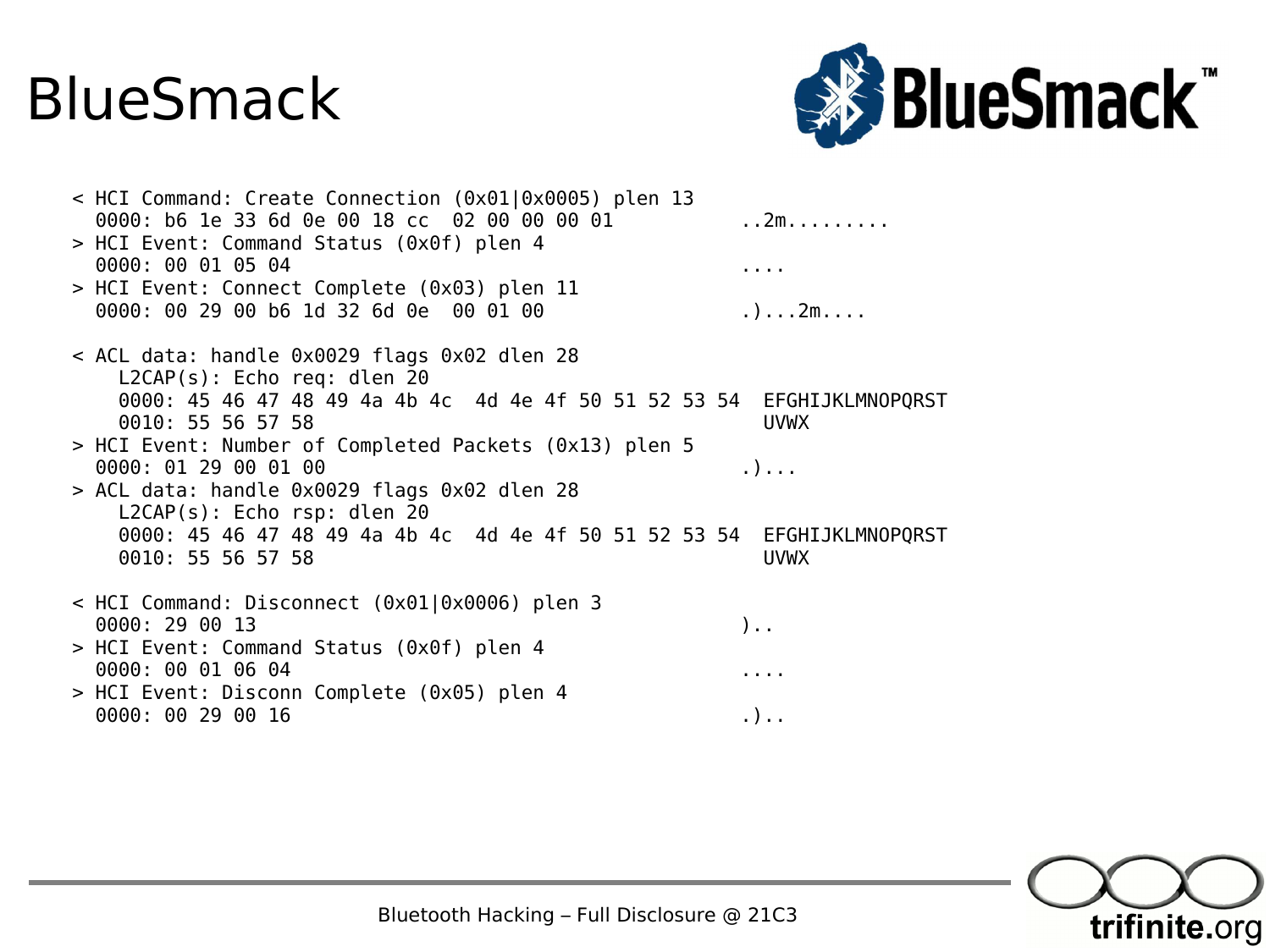#### BlueSmack

![](_page_36_Picture_1.jpeg)

| > HCI Event: Command Status (0x0f) plen 4                                                                                       |  |
|---------------------------------------------------------------------------------------------------------------------------------|--|
| 0000: 00 01 05 04<br>$\mathbf{r}$ , $\mathbf{r}$ , $\mathbf{r}$                                                                 |  |
| > HCI Event: Connect Complete (0x03) plen 11<br>0000: 00 29 00 b6 1d 32 6d 0e 00 01 00<br>.) $2m$                               |  |
| < ACL data: handle 0x0029 flags 0x02 dlen 28<br>$L2CAP(s)$ : Echo req: dlen 20                                                  |  |
| 0000: 45 46 47 48 49 4a 4b 4c 4d 4e 4f 50 51 52 53 54 EFGHIJKLMNOPQRST<br>0010: 55 56 57 58<br><b>UVWX</b>                      |  |
| > HCI Event: Number of Completed Packets (0x13) plen 5<br>0000: 01 29 00 01 00<br>$\ldots$                                      |  |
| > ACL data: handle 0x0029 flags 0x02 dlen 28<br>$L2CAP(s)$ : Echo rsp: dlen 20                                                  |  |
| 0000: 45 46 47 48 49 4a 4b 4c 4d 4e 4f 50 51 52 53 54<br>EFGHIJKLMNOPQRST<br>0010: 55 56 57 58<br><b>UVWX</b>                   |  |
| < HCI Command: Disconnect (0x01 0x0006) plen 3<br>0000: 29 00 13<br>$)$                                                         |  |
| > HCI Event: Command Status (0x0f) plen 4<br>0000: 00 01 06 04<br>$\begin{array}{cccccccccccccc} 1 & 1 & 1 & 1 & 1 \end{array}$ |  |
| > HCI Event: Disconn Complete (0x05) plen 4<br>0000: 00 29 00 16<br>. )                                                         |  |

![](_page_36_Picture_3.jpeg)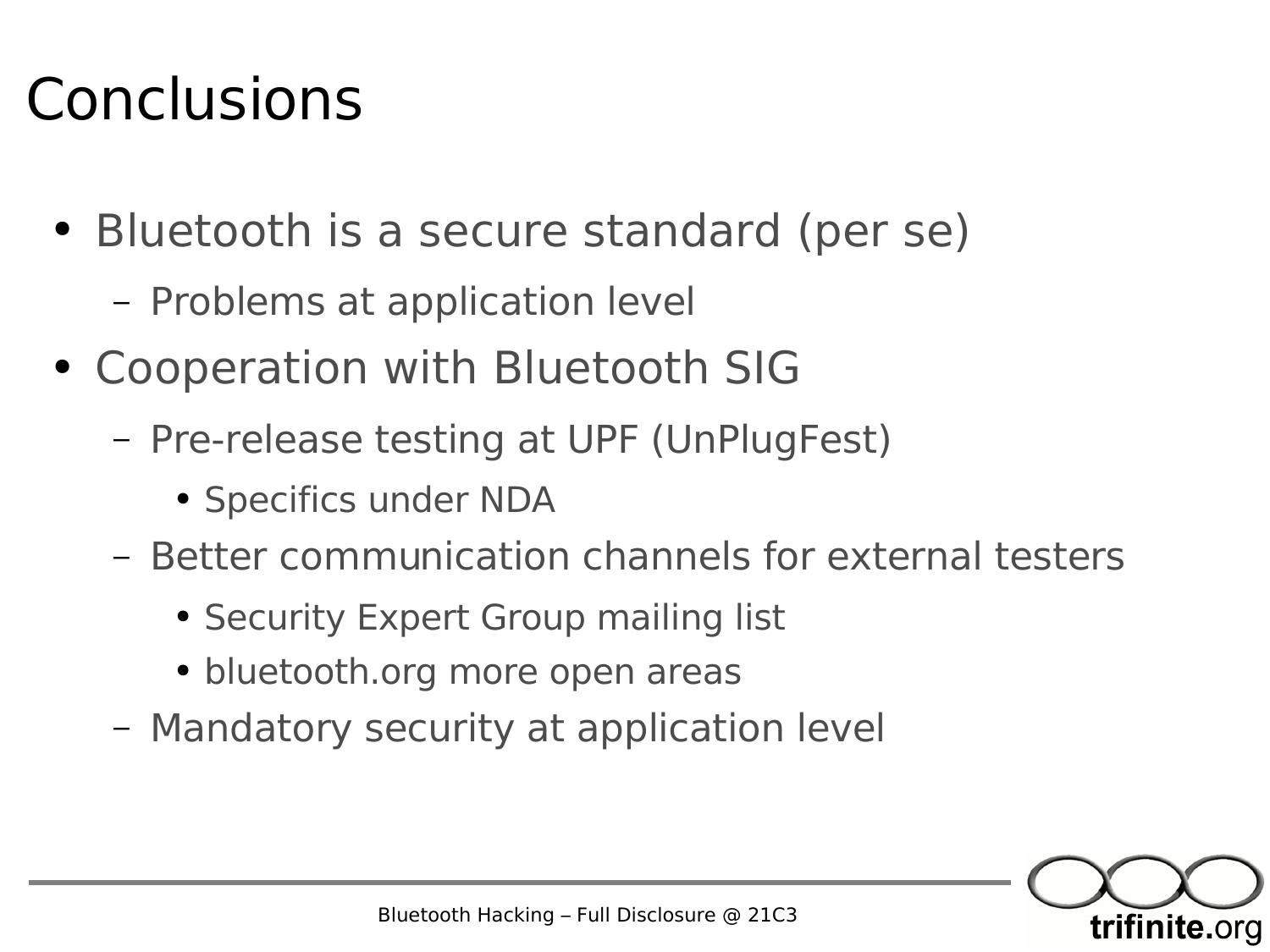#### Conclusions

- Bluetooth is a secure standard (per se)
	- Problems at application level
- Cooperation with Bluetooth SIG
	- Pre-release testing at UPF (UnPlugFest)
		- Specifics under NDA
	- Better communication channels for external testers
		- Security Expert Group mailing list
		- bluetooth.org more open areas
	- Mandatory security at application level

![](_page_37_Picture_10.jpeg)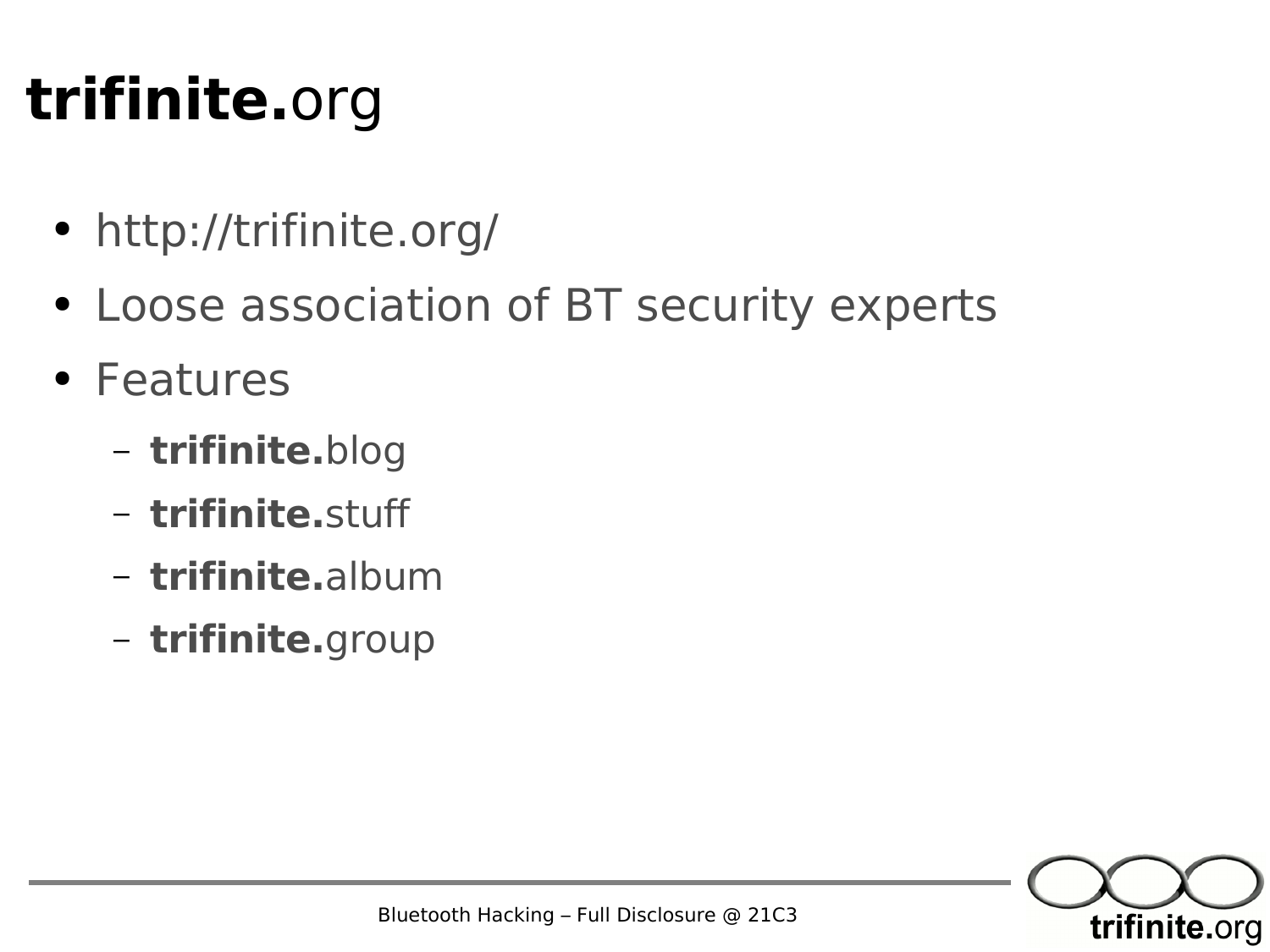#### **trifinite.**org

- http://trifinite.org/
- Loose association of BT security experts
- Features
	- **trifinite.**blog
	- **trifinite.**stuff
	- **trifinite.**album
	- **trifinite.**group

![](_page_38_Picture_8.jpeg)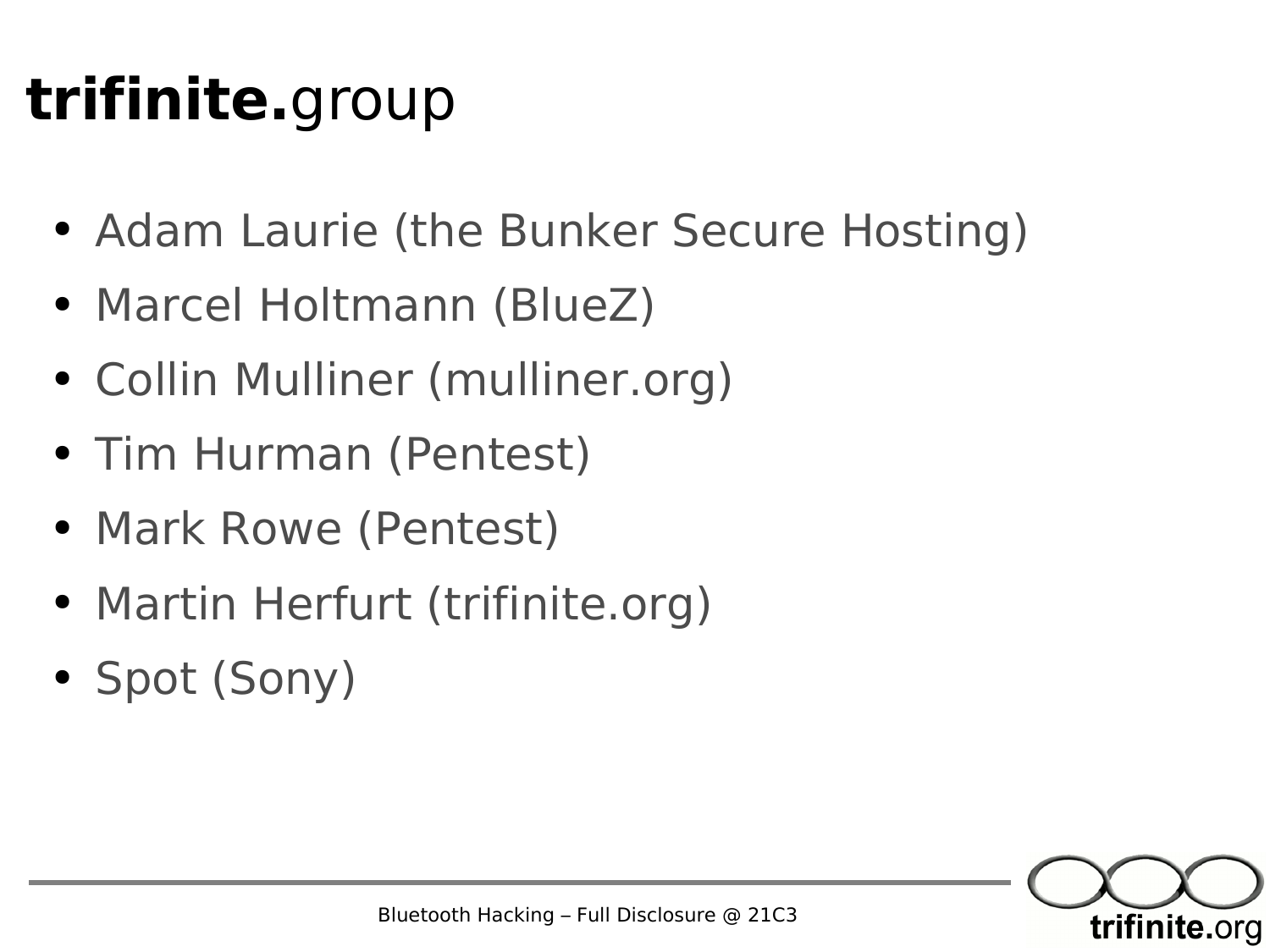#### **trifinite.**group

- Adam Laurie (the Bunker Secure Hosting)
- Marcel Holtmann (BlueZ)
- Collin Mulliner (mulliner.org)
- Tim Hurman (Pentest)
- Mark Rowe (Pentest)
- Martin Herfurt (trifinite.org)
- Spot (Sony)

![](_page_39_Picture_8.jpeg)